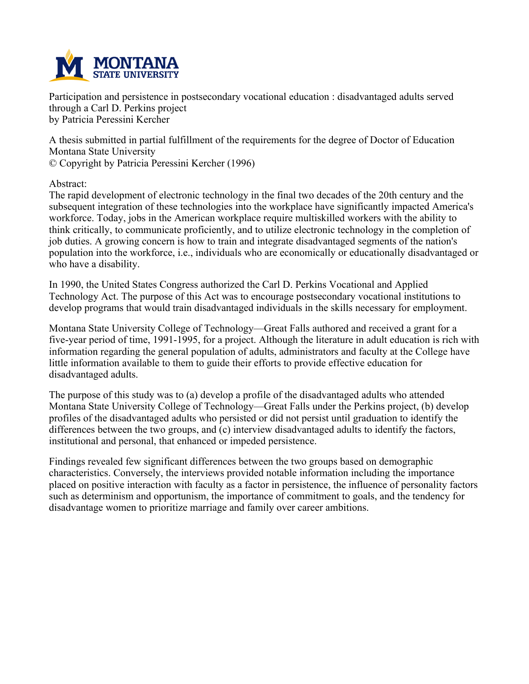

**Participation and persistence in postsecondary vocational education : disadvantaged adults served through a Carl D. Perkins project by Patricia Peressini Kercher**

**A thesis submitted in partial fulfillment of the requirements for the degree of Doctor of Education Montana State University © Copyright by Patricia Peressini Kercher (1996)**

**Abstract:**

**The rapid development of electronic technology in the final two decades of the 20th century and the subsequent integration of these technologies into the workplace have significantly impacted America's workforce. Today, jobs in the American workplace require multiskilled workers with the ability to think critically, to communicate proficiently, and to utilize electronic technology in the completion of job duties. A growing concern is how to train and integrate disadvantaged segments of the nation's population into the workforce, i.e., individuals who are economically or educationally disadvantaged or who have a disability.**

**In 1990, the United States Congress authorized the Carl D. Perkins Vocational and Applied Technology Act. The purpose of this Act was to encourage postsecondary vocational institutions to develop programs that would train disadvantaged individuals in the skills necessary for employment.**

**Montana State University College of Technology—Great Falls authored and received a grant for a** five-year period of time, 1991-1995, for a project. Although the literature in adult education is rich with **information regarding the general population of adults, administrators and faculty at the College have little information available to them to guide their efforts to provide effective education for disadvantaged adults.**

**The purpose of this study was to (a) develop a profile of the disadvantaged adults who attended Montana State University College of Technology—Great Falls under the Perkins project, (b) develop profiles of the disadvantaged adults who persisted or did not persist until graduation to identify the differences between the two groups, and (c) interview disadvantaged adults to identify the factors, institutional and personal, that enhanced or impeded persistence.**

**Findings revealed few significant differences between the two groups based on demographic characteristics. Conversely, the interviews provided notable information including the importance placed on positive interaction with faculty as a factor in persistence, the influence of personality factors such as determinism and opportunism, the importance of commitment to goals, and the tendency for disadvantage women to prioritize marriage and family over career ambitions.**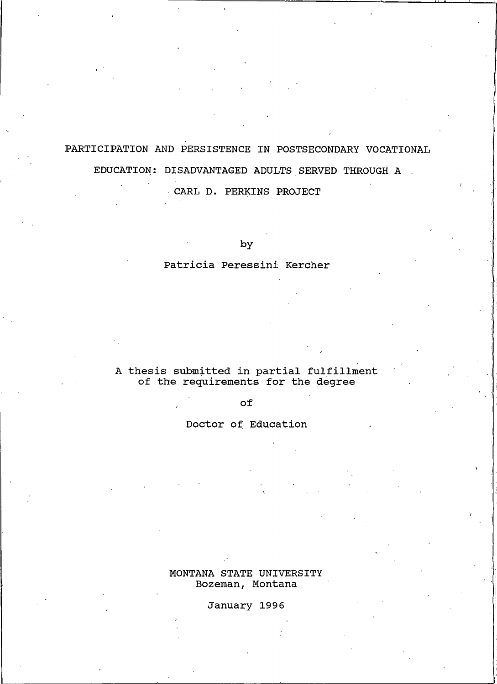# PARTICIPATION AND PERSISTENCE IN POSTSECONDARY VOCATIONAL EDUCATION: DISADVANTAGED ADULTS SERVED THROUGH A

CARL D. PERKINS PROJECT

by

# Patricia Peressini Kercher

# A thesis submitted in partial fulfillment<br>of the requirements for the degree

of

Doctor of Education

MONTANA STATE UNIVERSITY Bozeman, Montana

January 1996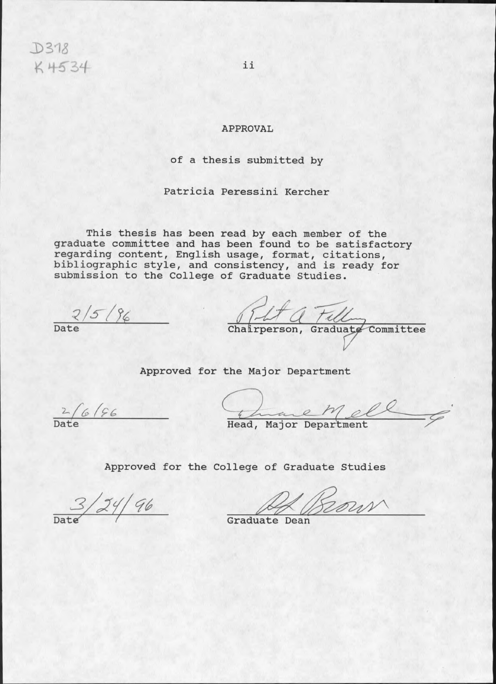$D318$ K 4534

# **APPROVAL**

# of a thesis submitted by

Patricia Peressini Kercher

This thesis has been read by each member of the graduate committee and has been found to be satisfactory regarding content, English usage, format, citations,<br>bibliographic style, and consistency, and is ready for submission to the College of Graduate Studies.

 $\frac{2}{5/8}$ 

Chairperson, Graduate Committee

Approved for the Major Department

 $2/6/96$ 

Head, Major Department

Approved for the College of Graduate Studies

 $3/24/96$ 

Bour

Graduate Dean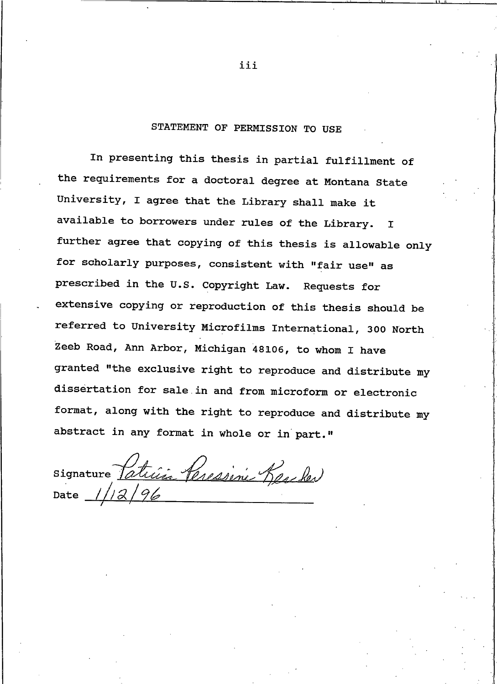# STATEMENT OF PERMISSION TO USE

In presenting this thesis in partial fulfillment of the requirements for a doctoral degree at Montana State University, I agree that the Library shall make it available to borrowers under rules of the Library.  $\mathbf I$ further agree that copying of this thesis is allowable only for scholarly purposes, consistent with "fair use" as prescribed in the U.S. Copyright Law. Requests for extensive copying or reproduction of this thesis should be referred to University Microfilms International, 300 North Zeeb Road, Ann Arbor, Michigan 48106, to whom I have granted "the exclusive right to reproduce and distribute my dissertation for sale in and from microform or electronic format, along with the right to reproduce and distribute my abstract in any format in whole or in part."

signature <u>Patricia Peressine</u> Reseler Date

iii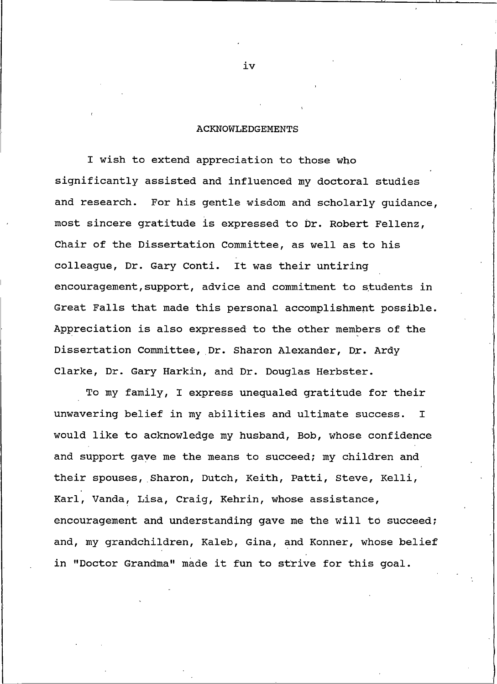#### **ACKNOWLEDGEMENTS**

I wish to extend appreciation to those who significantly assisted and influenced my doctoral studies and research. For his gentle wisdom and scholarly quidance, most sincere gratitude is expressed to Dr. Robert Fellenz, Chair of the Dissertation Committee, as well as to his colleague, Dr. Gary Conti. It was their untiring encouragement, support, advice and commitment to students in Great Falls that made this personal accomplishment possible. Appreciation is also expressed to the other members of the Dissertation Committee, Dr. Sharon Alexander, Dr. Ardy Clarke, Dr. Gary Harkin, and Dr. Douglas Herbster.

To my family, I express unequaled gratitude for their unwavering belief in my abilities and ultimate success.  $\mathbf I$ would like to acknowledge my husband, Bob, whose confidence and support gave me the means to succeed; my children and their spouses, Sharon, Dutch, Keith, Patti, Steve, Kelli, Karl, Vanda, Lisa, Craig, Kehrin, whose assistance, encouragement and understanding gave me the will to succeed; and, my grandchildren, Kaleb, Gina, and Konner, whose belief in "Doctor Grandma" made it fun to strive for this goal.

iv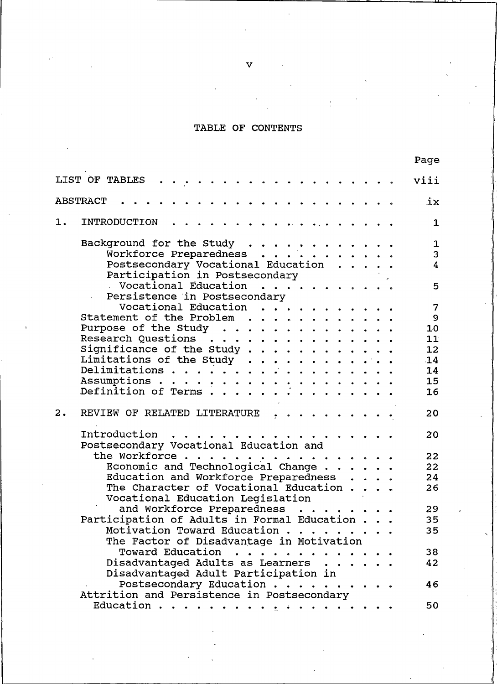# TABLE OF CONTENTS

|    |                                                                      |  | raye        |
|----|----------------------------------------------------------------------|--|-------------|
|    | LIST OF TABLES<br>. <i>.</i>                                         |  | viii        |
|    | <b>ABSTRACT</b>                                                      |  | iх          |
| 1. | INTRODUCTION                                                         |  | $\mathbf 1$ |
|    |                                                                      |  |             |
|    |                                                                      |  | 1           |
|    |                                                                      |  | 3           |
|    | Postsecondary Vocational Education<br>Participation in Postsecondary |  | 4           |
|    | . Vocational Education                                               |  | 5           |
|    | Persistence in Postsecondary                                         |  |             |
|    | Vocational Education                                                 |  | 7           |
|    | Statement of the Problem                                             |  | 9           |
|    | Purpose of the Study                                                 |  | 10          |
|    | Research Questions                                                   |  | 11          |
|    | Significance of the Study                                            |  | 12          |
|    | Limitations of the Study                                             |  | 14          |
|    | Delimitations                                                        |  | 14          |
|    |                                                                      |  | 15          |
|    |                                                                      |  | 16          |
| 2. | REVIEW OF RELATED LITERATURE                                         |  | 20          |
|    | Introduction<br>$\ddot{\phantom{a}}$<br>.                            |  | 20          |
|    | Postsecondary Vocational Education and                               |  |             |
|    | the Workforce                                                        |  | 22          |
|    | Economic and Technological Change                                    |  | 22          |
|    | Education and Workforce Preparedness                                 |  | 24          |
|    | The Character of Vocational Education                                |  | 26          |
|    | Vocational Education Legislation                                     |  |             |
|    | and Workforce Preparedness                                           |  | 29          |
|    | Participation of Adults in Formal Education                          |  | 35          |
|    | Motivation Toward Education                                          |  | 35          |
|    | The Factor of Disadvantage in Motivation                             |  |             |
|    | Toward Education                                                     |  | 38          |
|    | Disadvantaged Adults as Learners                                     |  | 42          |
|    | Disadvantaged Adult Participation in                                 |  |             |
|    | Postsecondary Education                                              |  | 46          |
|    | Attrition and Persistence in Postsecondary                           |  |             |
|    | Education .<br>. <u>.</u>                                            |  | 50          |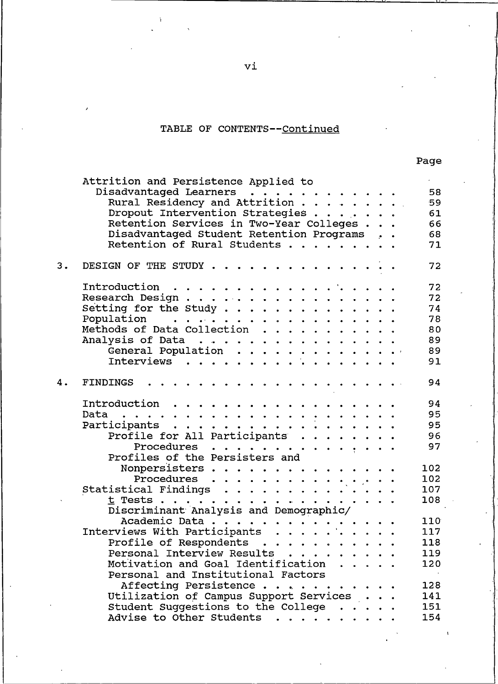# TABLE OF CONTENTS--Continued

|    | Attrition and Persistence Applied to<br>Disadvantaged Learners<br>Rural Residency and Attrition<br>Dropout Intervention Strategies<br>Retention Services in Two-Year Colleges |  |  | 58<br>59<br>61 |
|----|-------------------------------------------------------------------------------------------------------------------------------------------------------------------------------|--|--|----------------|
|    |                                                                                                                                                                               |  |  | 66             |
|    | Disadvantaged Student Retention Programs                                                                                                                                      |  |  | 68             |
|    | Retention of Rural Students                                                                                                                                                   |  |  | 71             |
| 3. | DESIGN OF THE STUDY                                                                                                                                                           |  |  | 72             |
|    | Introduction                                                                                                                                                                  |  |  | 72             |
|    |                                                                                                                                                                               |  |  | 72             |
|    | Research Design<br>Setting for the Study                                                                                                                                      |  |  | 74             |
|    |                                                                                                                                                                               |  |  | 78             |
|    |                                                                                                                                                                               |  |  | 80             |
|    |                                                                                                                                                                               |  |  | 89             |
|    |                                                                                                                                                                               |  |  | 89             |
|    |                                                                                                                                                                               |  |  | 91             |
|    |                                                                                                                                                                               |  |  |                |
| 4. | .<br><b>FINDINGS</b>                                                                                                                                                          |  |  | 94             |
|    | Introduction                                                                                                                                                                  |  |  | 94             |
|    |                                                                                                                                                                               |  |  | 95             |
|    | Participants                                                                                                                                                                  |  |  | 95             |
|    | Profile for All Participants                                                                                                                                                  |  |  | 96             |
|    | Procedures                                                                                                                                                                    |  |  | 97             |
|    |                                                                                                                                                                               |  |  |                |
|    |                                                                                                                                                                               |  |  | 102            |
|    |                                                                                                                                                                               |  |  | 102            |
|    |                                                                                                                                                                               |  |  | 107            |
|    |                                                                                                                                                                               |  |  | 108            |
|    |                                                                                                                                                                               |  |  |                |
|    |                                                                                                                                                                               |  |  | 110            |
|    |                                                                                                                                                                               |  |  | 117            |
|    |                                                                                                                                                                               |  |  | 118            |
|    | Profile of Respondents                                                                                                                                                        |  |  | 119            |
|    | Personal Interview Results                                                                                                                                                    |  |  |                |
|    | Motivation and Goal Identification                                                                                                                                            |  |  | 120            |
|    | Personal and Institutional Factors                                                                                                                                            |  |  |                |
|    | Affecting Persistence                                                                                                                                                         |  |  | 128            |
|    | Utilization of Campus Support Services                                                                                                                                        |  |  | 141            |
|    | Student Suggestions to the College                                                                                                                                            |  |  | 151            |
|    | Advise to Other Students                                                                                                                                                      |  |  | 154            |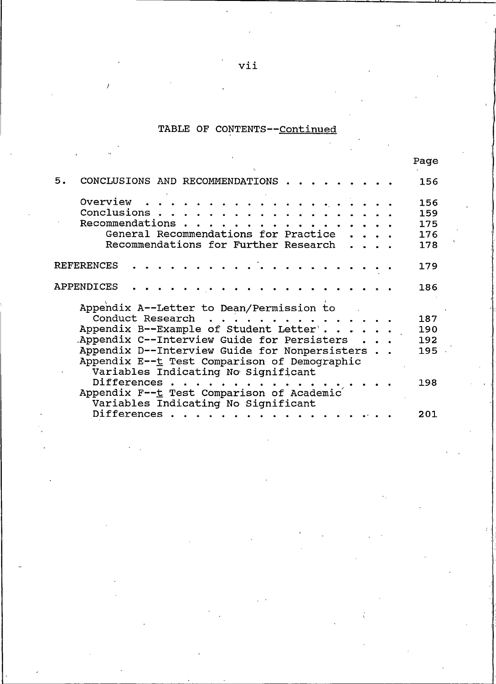# TABLE OF CONTENTS--Continued

|                                                                                                                                                                                                                                                                                                               | rage                            |
|---------------------------------------------------------------------------------------------------------------------------------------------------------------------------------------------------------------------------------------------------------------------------------------------------------------|---------------------------------|
| 5.<br>CONCLUSIONS AND RECOMMENDATIONS                                                                                                                                                                                                                                                                         | 156                             |
| Overview<br>Conclusions.<br>Recommendations<br>General Recommendations for Practice<br>Recommendations for Further Research                                                                                                                                                                                   | 156<br>159<br>175<br>176<br>178 |
| <b>REFERENCES</b>                                                                                                                                                                                                                                                                                             | 179                             |
| APPENDICES                                                                                                                                                                                                                                                                                                    | 186                             |
| Appendix A--Letter to Dean/Permission to<br>Conduct Research<br>Appendix B--Example of Student Letter'.<br>Appendix C--Interview Guide for Persisters<br>Appendix D--Interview Guide for Nonpersisters<br>Appendix E--t Test Comparison of Demographic<br>Variables Indicating No Significant<br>Differences. | 187<br>190<br>192<br>195<br>198 |
| Appendix F--t Test Comparison of Academic<br>Variables Indicating No Significant                                                                                                                                                                                                                              |                                 |
| Differences.                                                                                                                                                                                                                                                                                                  | 201                             |

vii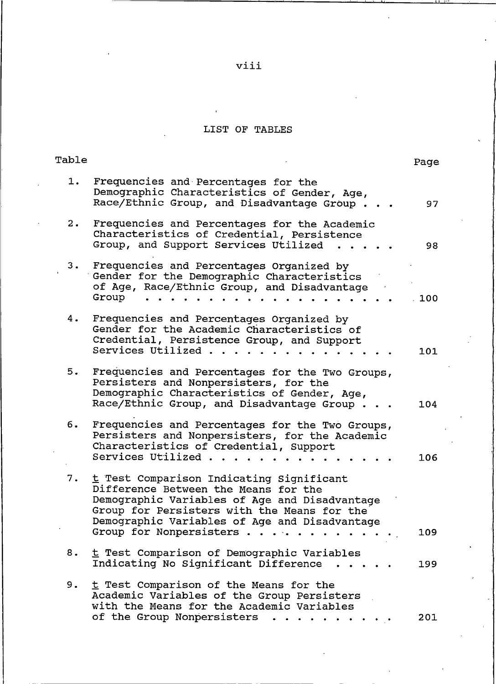# viii

# LIST OF TABLES

| Table |                                                                                                                                                                                                                                                              | Page |
|-------|--------------------------------------------------------------------------------------------------------------------------------------------------------------------------------------------------------------------------------------------------------------|------|
| 1.    | Frequencies and Percentages for the<br>Demographic Characteristics of Gender, Age,<br>Race/Ethnic Group, and Disadvantage Group.                                                                                                                             | 97   |
| 2.    | Frequencies and Percentages for the Academic<br>Characteristics of Credential, Persistence<br>Group, and Support Services Utilized                                                                                                                           | 98   |
| $3 -$ | Frequencies and Percentages Organized by<br>Gender for the Demographic Characteristics<br>of Age, Race/Ethnic Group, and Disadvantage<br>Group                                                                                                               | 100  |
| 4.    | Frequencies and Percentages Organized by<br>Gender for the Academic Characteristics of<br>Credential, Persistence Group, and Support<br>Services Utilized                                                                                                    | 101  |
| 5.    | Frequencies and Percentages for the Two Groups,<br>Persisters and Nonpersisters, for the<br>Demographic Characteristics of Gender, Age,<br>Race/Ethnic Group, and Disadvantage Group                                                                         | 104  |
| 6.    | Frequencies and Percentages for the Two Groups,<br>Persisters and Nonpersisters, for the Academic<br>Characteristics of Credential, Support<br>Services Utilized                                                                                             | 106  |
| 7.    | t Test Comparison Indicating Significant<br>Difference Between the Means for the<br>Demographic Variables of Age and Disadvantage<br>Group for Persisters with the Means for the<br>Demographic Variables of Age and Disadvantage<br>Group for Nonpersisters | 109  |
| 。。    | t Test Comparison of Demographic Variables<br>Indicating No Significant Difference                                                                                                                                                                           | 199  |
| 9.    | t Test Comparison of the Means for the<br>Academic Variables of the Group Persisters<br>with the Means for the Academic Variables<br>of the Group Nonpersisters                                                                                              | 201  |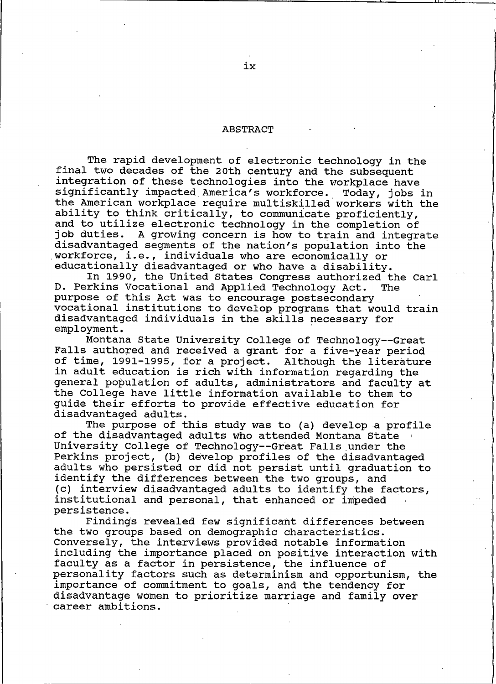#### **ABSTRACT**

The rapid development of electronic technology in the final two decades of the 20th century and the subsequent integration of these technologies into the workplace have significantly impacted America's workforce. Today, jobs in the American workplace require multiskilled workers with the ability to think critically, to communicate proficiently, and to utilize electronic technology in the completion of job duties. A growing concern is how to train and integrate disadvantaged segments of the nation's population into the workforce, i.e., individuals who are economically or educationally disadvantaged or who have a disability.

In 1990, the United States Congress authorized the Carl D. Perkins Vocational and Applied Technology Act. **The** purpose of this Act was to encourage postsecondary vocational institutions to develop programs that would train disadvantaged individuals in the skills necessary for employment.

Montana State University College of Technology--Great Falls authored and received a grant for a five-year period of time, 1991-1995, for a project. Although the literature in adult education is rich with information regarding the general population of adults, administrators and faculty at the College have little information available to them to guide their efforts to provide effective education for disadvantaged adults.

The purpose of this study was to (a) develop a profile of the disadvantaged adults who attended Montana State University College of Technology--Great Falls under the Perkins project, (b) develop profiles of the disadvantaged adults who persisted or did not persist until graduation to identify the differences between the two groups, and (c) interview disadvantaged adults to identify the factors, institutional and personal, that enhanced or impeded persistence.

Findings revealed few significant differences between the two groups based on demographic characteristics. Conversely, the interviews provided notable information including the importance placed on positive interaction with faculty as a factor in persistence, the influence of personality factors such as determinism and opportunism, the importance of commitment to goals, and the tendency for disadvantage women to prioritize marriage and family over career ambitions.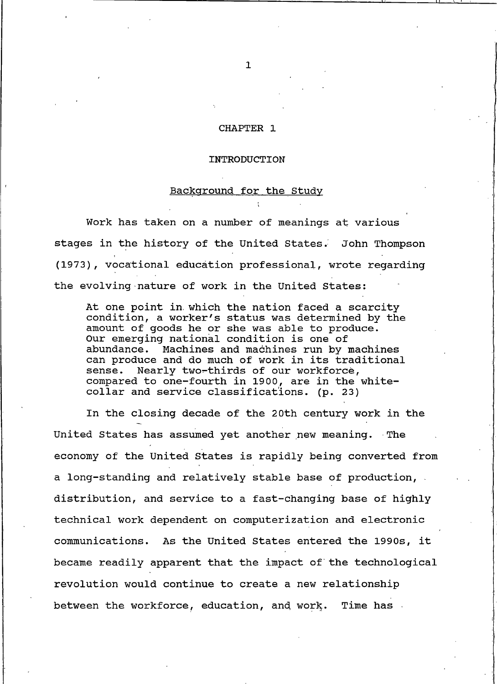#### CHAPTER 1

#### INTRODUCTION

## Background for the Study

Work has taken on a number of meanings at various stages in the history of the United States. John Thompson (1973), vocational education professional, wrote regarding the evolving nature of work in the United States:

At one point in which the nation faced a scarcity condition, a worker's status was determined by the amount of goods he or she was able to produce. Our emerging national condition is one of abundance. Machines and machines run by machines can produce and do much of work in its traditional Nearly two-thirds of our workforce, sense. compared to one-fourth in 1900, are in the whitecollar and service classifications. (p. 23)

In the closing decade of the 20th century work in the United States has assumed yet another new meaning. The economy of the United States is rapidly being converted from a long-standing and relatively stable base of production, . distribution, and service to a fast-changing base of highly technical work dependent on computerization and electronic communications. As the United States entered the 1990s, it became readily apparent that the impact of the technological revolution would continue to create a new relationship between the workforce, education, and work. Time has

 $\mathbf{1}$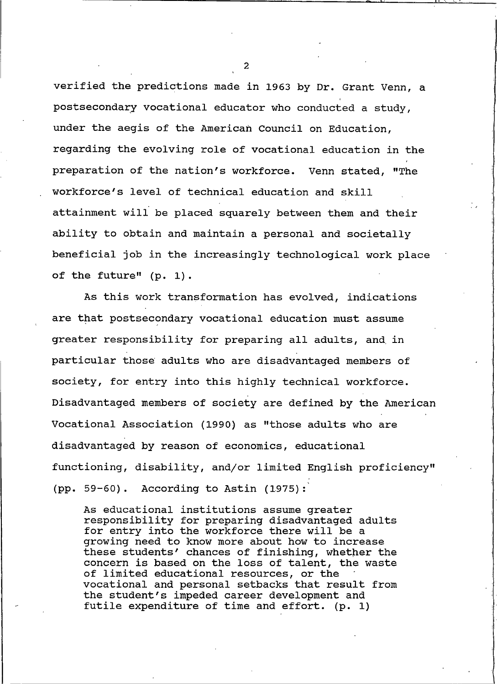verified the predictions made in 1963 by Dr. Grant Venn, a postsecondary vocational educator who conducted a study, under the aegis of the American Council on Education, regarding the evolving role of vocational education in the preparation of the nation's workforce. Venn stated, "The workforce's level of technical education and skill attainment will be placed squarely between them and their ability to obtain and maintain a personal and societally beneficial job in the increasingly technological work place of the future" (p. 1).

As this work transformation has evolved, indications are that postsecondary vocational education must assume greater responsibility for preparing all adults, and in particular those adults who are disadvantaged members of society, for entry into this highly technical workforce. Disadvantaged members of society are defined by the American Vocational Association (1990) as "those adults who are disadvantaged by reason of economics, educational functioning, disability, and/or limited English proficiency" (pp. 59-60). According to Astin  $(1975)$ :

As educational institutions assume greater responsibility for preparing disadvantaged adults for entry into the workforce there will be a growing need to know more about how to increase these students' chances of finishing, whether the concern is based on the loss of talent, the waste of limited educational resources, or the vocational and personal setbacks that result from the student's impeded career development and futile expenditure of time and effort. (p. 1)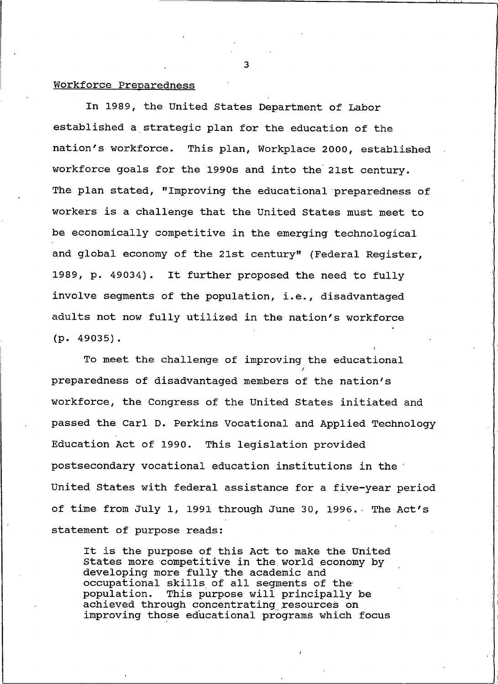### Workforce Preparedness

In 1989, the United States Department of Labor established a strategic plan for the education of the nation's workforce. This plan, Workplace 2000, established workforce goals for the 1990s and into the 21st century. The plan stated, "Improving the educational preparedness of workers is a challenge that the United States must meet to be economically competitive in the emerging technological and global economy of the 21st century" (Federal Reqister, 1989, p. 49034). It further proposed the need to fully involve segments of the population, i.e., disadvantaged adults not now fully utilized in the nation's workforce  $(p. 49035)$ .

To meet the challenge of improving the educational preparedness of disadvantaged members of the nation's workforce, the Congress of the United States initiated and passed the Carl D. Perkins Vocational and Applied Technology Education Act of 1990. This legislation provided postsecondary vocational education institutions in the United States with federal assistance for a five-year period of time from July 1, 1991 through June 30, 1996. The Act's statement of purpose reads:

It is the purpose of this Act to make the United States more competitive in the world economy by developing more fully the academic and occupational skills of all segments of the population. This purpose will principally be achieved through concentrating resources on improving those educational programs which focus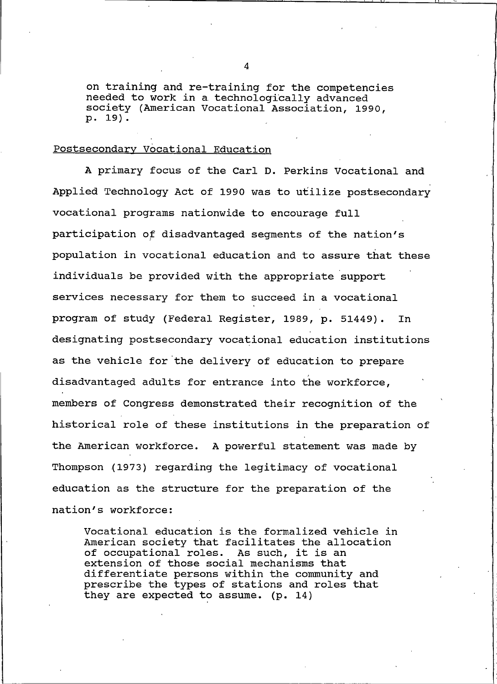on training and re-training for the competencies needed to work in a technologically advanced society (American Vocational Association, 1990, p. 19).

# Postsecondary Vocational Education

A primary focus of the Carl D. Perkins Vocational and Applied Technology Act of 1990 was to utilize postsecondary vocational programs nationwide to encourage full participation of disadvantaged seqments of the nation's population in vocational education and to assure that these individuals be provided with the appropriate support services necessary for them to succeed in a vocational program of study (Federal Register, 1989, p. 51449). In designating postsecondary vocational education institutions as the vehicle for the delivery of education to prepare disadvantaged adults for entrance into the workforce, members of Congress demonstrated their recognition of the historical role of these institutions in the preparation of the American workforce. A powerful statement was made by Thompson (1973) regarding the legitimacy of vocational education as the structure for the preparation of the nation's workforce:

Vocational education is the formalized vehicle in American society that facilitates the allocation of occupational roles. As such, it is an extension of those social mechanisms that differentiate persons within the community and prescribe the types of stations and roles that they are expected to assume. (p. 14)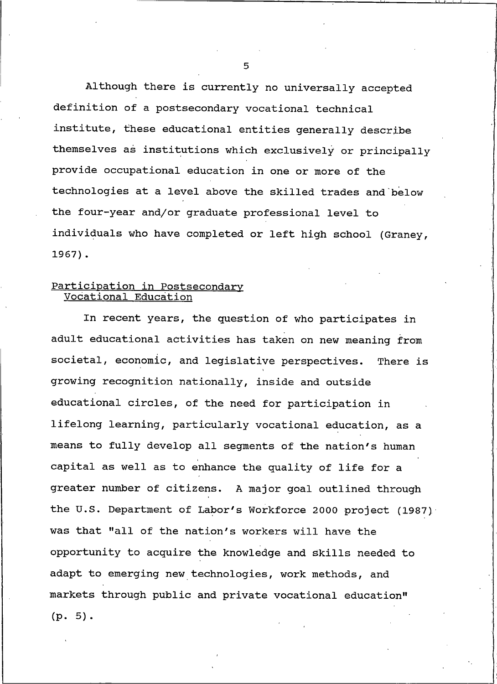Although there is currently no universally accepted definition of a postsecondary vocational technical institute, these educational entities generally describe themselves as institutions which exclusively or principally provide occupational education in one or more of the technologies at a level above the skilled trades and below the four-year and/or graduate professional level to individuals who have completed or left high school (Graney,  $1967$ ).

# Participation in Postsecondary<br>Vocational Education

In recent years, the question of who participates in adult educational activities has taken on new meaning from societal, economic, and legislative perspectives. There is growing recognition nationally, inside and outside educational circles, of the need for participation in lifelong learning, particularly vocational education, as a means to fully develop all segments of the nation's human capital as well as to enhance the quality of life for a greater number of citizens. A major goal outlined through the U.S. Department of Labor's Workforce 2000 project (1987) was that "all of the nation's workers will have the opportunity to acquire the knowledge and skills needed to adapt to emerging new technologies, work methods, and markets through public and private vocational education"  $(p. 5).$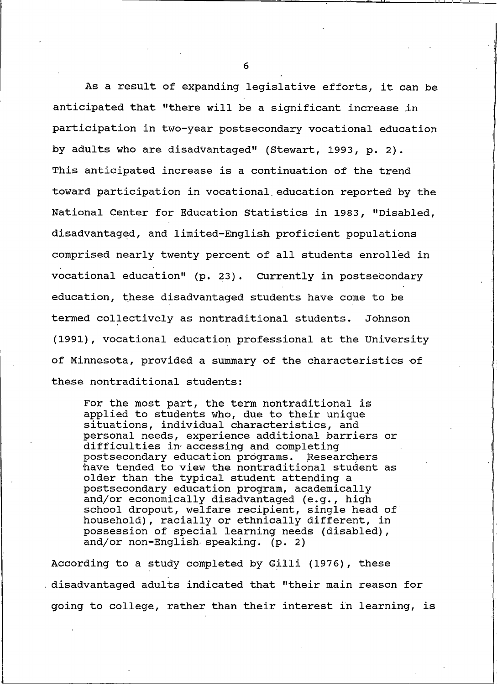As a result of expanding legislative efforts, it can be anticipated that "there will be a significant increase in participation in two-year postsecondary vocational education by adults who are disadvantaged" (Stewart, 1993, p. 2). This anticipated increase is a continuation of the trend toward participation in vocational education reported by the National Center for Education Statistics in 1983, "Disabled, disadvantaged, and limited-English proficient populations comprised nearly twenty percent of all students enrolled in vocational education" (p. 23). Currently in postsecondary education, these disadvantaged students have come to be termed collectively as nontraditional students. Johnson (1991), vocational education professional at the University of Minnesota, provided a summary of the characteristics of these nontraditional students:

For the most part, the term nontraditional is applied to students who, due to their unique situations, individual characteristics, and personal needs, experience additional barriers or difficulties in accessing and completing postsecondary education programs. Researchers have tended to view the nontraditional student as older than the typical student attending a postsecondary education program, academically and/or economically disadvantaged (e.g., high school dropout, welfare recipient, single head of household), racially or ethnically different, in possession of special learning needs (disabled), and/or non-English speaking. (p. 2)

According to a study completed by Gilli (1976), these disadvantaged adults indicated that "their main reason for going to college, rather than their interest in learning, is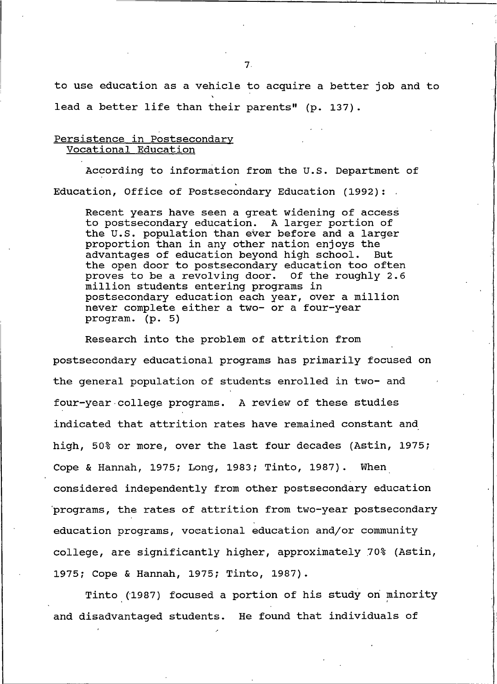to use education as a vehicle to acquire a better job and to lead a better life than their parents" (p. 137).

# Persistence in Postsecondary Vocational Education

According to information from the U.S. Department of Education, Office of Postsecondary Education (1992):

Recent years have seen a great widening of access to postsecondary education. A larger portion of the U.S. population than ever before and a larger proportion than in any other nation enjoys the advantages of education beyond high school. But the open door to postsecondary education too often proves to be a revolving door. Of the roughly 2.6 million students entering programs in postsecondary education each year, over a million never complete either a two- or a four-year program. (p. 5)

Research into the problem of attrition from postsecondary educational programs has primarily focused on the general population of students enrolled in two- and four-year college programs. A review of these studies indicated that attrition rates have remained constant and high, 50% or more, over the last four decades (Astin, 1975; Cope & Hannah, 1975; Long, 1983; Tinto, 1987). When considered independently from other postsecondary education programs, the rates of attrition from two-year postsecondary education programs, vocational education and/or community college, are significantly higher, approximately 70% (Astin, 1975; Cope & Hannah, 1975; Tinto, 1987).

Tinto (1987) focused a portion of his study on minority and disadvantaged students. He found that individuals of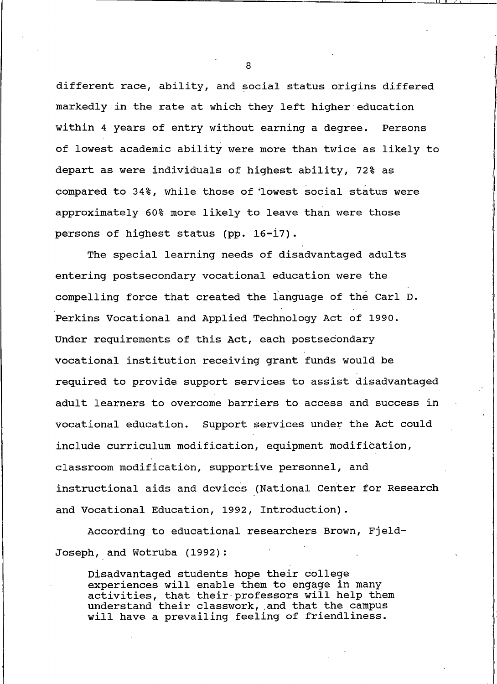different race, ability, and social status origins differed markedly in the rate at which they left higher education within 4 years of entry without earning a degree. Persons of lowest academic ability were more than twice as likely to depart as were individuals of highest ability, 72% as compared to 34%, while those of 'lowest social status were approximately 60% more likely to leave than were those persons of highest status (pp. 16-17).

The special learning needs of disadvantaged adults entering postsecondary vocational education were the compelling force that created the language of the Carl D. Perkins Vocational and Applied Technology Act of 1990. Under requirements of this Act, each postsecondary vocational institution receiving grant funds would be required to provide support services to assist disadvantaged adult learners to overcome barriers to access and success in vocational education. Support services under the Act could include curriculum modification, equipment modification, classroom modification, supportive personnel, and instructional aids and devices (National Center for Research and Vocational Education, 1992, Introduction).

According to educational researchers Brown, Fjeld-Joseph, and Wotruba (1992):

Disadvantaged students hope their college experiences will enable them to engage in many activities, that their professors will help them understand their classwork, and that the campus<br>will have a prevailing feeling of friendliness.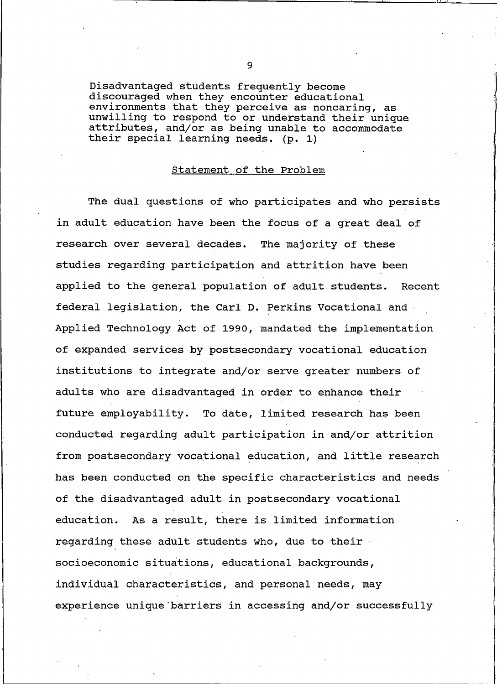Disadvantaged students frequently become discouraged when they encounter educational environments that they perceive as noncaring, as unwilling to respond to or understand their unique attributes, and/or as being unable to accommodate their special learning needs. (p. 1)

#### Statement of the Problem

The dual questions of who participates and who persists in adult education have been the focus of a great deal of research over several decades. The majority of these studies regarding participation and attrition have been applied to the general population of adult students. Recent federal legislation, the Carl D. Perkins Vocational and Applied Technology Act of 1990, mandated the implementation of expanded services by postsecondary vocational education institutions to integrate and/or serve greater numbers of adults who are disadvantaged in order to enhance their future employability. To date, limited research has been conducted regarding adult participation in and/or attrition from postsecondary vocational education, and little research has been conducted on the specific characteristics and needs of the disadvantaged adult in postsecondary vocational As a result, there is limited information education. regarding these adult students who, due to their a socioeconomic situations, educational backgrounds, individual characteristics, and personal needs, may experience unique barriers in accessing and/or successfully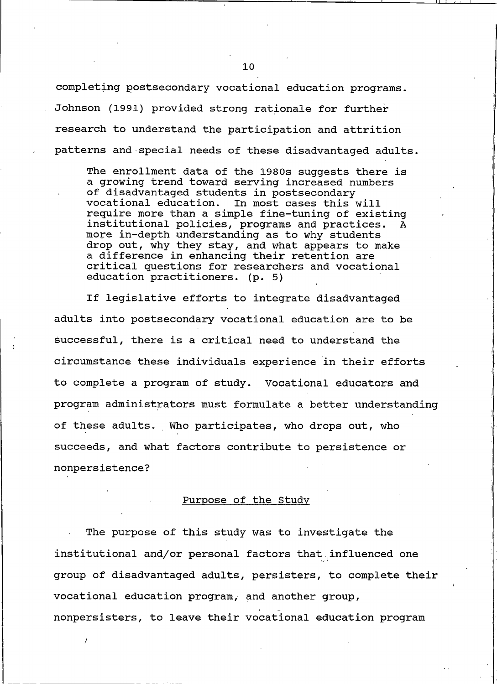completing postsecondary vocational education programs. Johnson (1991) provided strong rationale for further research to understand the participation and attrition patterns and special needs of these disadvantaged adults.

The enrollment data of the 1980s suggests there is a growing trend toward serving increased numbers of disadvantaged students in postsecondary vocational education. In most cases this will require more than a simple fine-tuning of existing institutional policies, programs and practices. more in-depth understanding as to why students drop out, why they stay, and what appears to make a difference in enhancing their retention are critical questions for researchers and vocational education practitioners. (p. 5)

If legislative efforts to integrate disadvantaged adults into postsecondary vocational education are to be successful, there is a critical need to understand the circumstance these individuals experience in their efforts to complete a program of study. Vocational educators and program administrators must formulate a better understanding of these adults. Who participates, who drops out, who succeeds, and what factors contribute to persistence or nonpersistence?

#### Purpose of the Study

The purpose of this study was to investigate the institutional and/or personal factors that influenced one group of disadvantaged adults, persisters, to complete their vocational education program, and another group, nonpersisters, to leave their vocational education program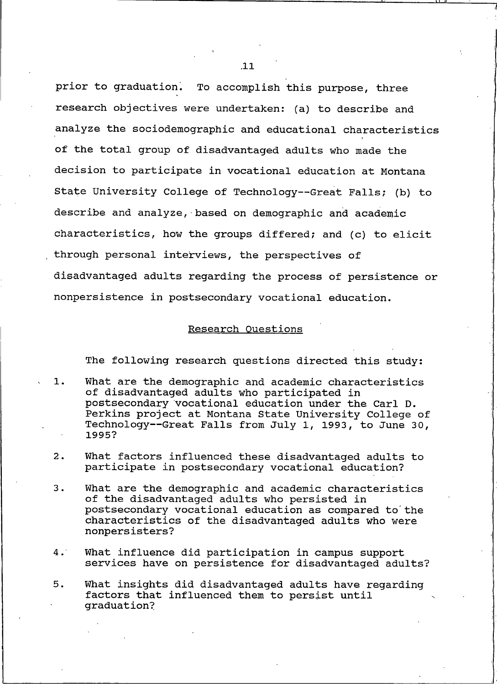prior to graduation. To accomplish this purpose, three research objectives were undertaken: (a) to describe and analyze the sociodemographic and educational characteristics of the total group of disadvantaged adults who made the decision to participate in vocational education at Montana State University College of Technology--Great Falls; (b) to describe and analyze, based on demographic and academic characteristics, how the groups differed; and (c) to elicit through personal interviews, the perspectives of disadvantaged adults regarding the process of persistence or nonpersistence in postsecondary vocational education.

#### Research Questions

The following research questions directed this study:

- $1.$ What are the demographic and academic characteristics of disadvantaged adults who participated in postsecondary vocational education under the Carl D. Perkins project at Montana State University College of Technology--Great Falls from July 1, 1993, to June 30, 1995?
- $2.$ What factors influenced these disadvantaged adults to participate in postsecondary vocational education?
- $3.$ What are the demographic and academic characteristics of the disadvantaged adults who persisted in postsecondary vocational education as compared to the characteristics of the disadvantaged adults who were nonpersisters?
- $4.$ What influence did participation in campus support services have on persistence for disadvantaged adults?
- What insights did disadvantaged adults have regarding  $5.$ factors that influenced them to persist until qraduation?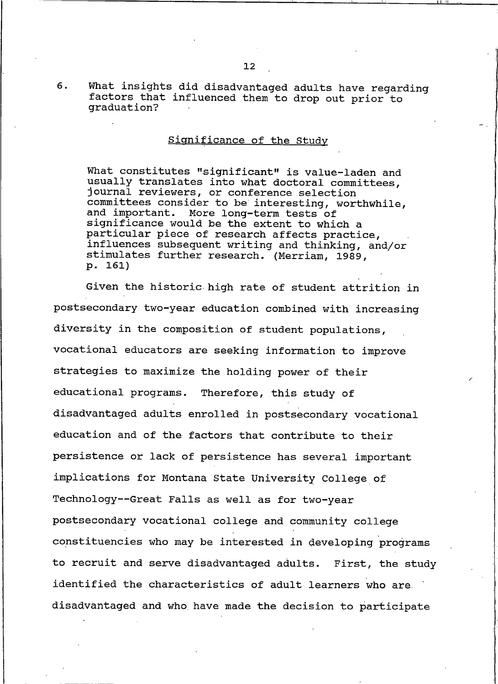What insights did disadvantaged adults have regarding factors that influenced them to drop out prior to graduation?

 $6.$ 

# Significance of the Study

What constitutes "significant" is value-laden and usually translates into what doctoral committees, journal reviewers, or conference selection committees consider to be interesting, worthwhile, and important. More long-term tests of significance would be the extent to which a particular piece of research affects practice, influences subsequent writing and thinking, and/or stimulates further research. (Merriam, 1989, p. 161)

Given the historic high rate of student attrition in postsecondary two-year education combined with increasing diversity in the composition of student populations, vocational educators are seeking information to improve strategies to maximize the holding power of their educational programs. Therefore, this study of disadvantaged adults enrolled in postsecondary vocational education and of the factors that contribute to their persistence or lack of persistence has several important implications for Montana State University College of Technology--Great Falls as well as for two-year postsecondary vocational college and community college constituencies who may be interested in developing programs to recruit and serve disadvantaged adults. First, the study identified the characteristics of adult learners who are. disadvantaged and who have made the decision to participate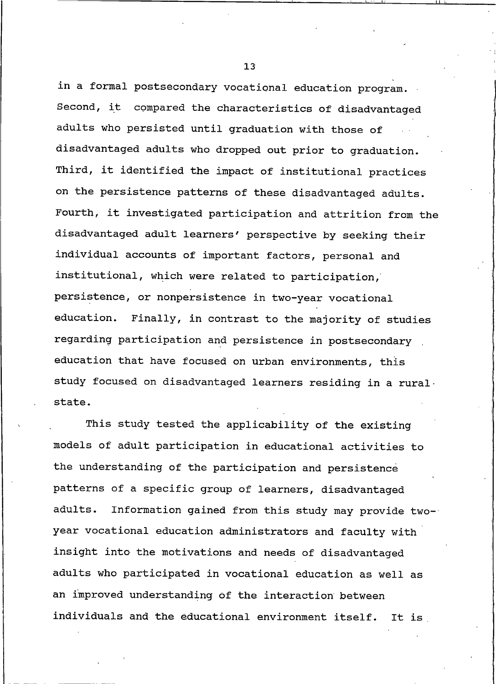in a formal postsecondary vocational education program. Second, it compared the characteristics of disadvantaged adults who persisted until graduation with those of disadvantaged adults who dropped out prior to graduation. Third, it identified the impact of institutional practices on the persistence patterns of these disadvantaged adults. Fourth, it investigated participation and attrition from the disadvantaged adult learners' perspective by seeking their individual accounts of important factors, personal and institutional, which were related to participation, persistence, or nonpersistence in two-year vocational education. Finally, in contrast to the majority of studies regarding participation and persistence in postsecondary education that have focused on urban environments, this study focused on disadvantaged learners residing in a rural. state.

This study tested the applicability of the existing models of adult participation in educational activities to the understanding of the participation and persistence patterns of a specific group of learners, disadvantaged adults. Information gained from this study may provide twoyear vocational education administrators and faculty with insight into the motivations and needs of disadvantaged adults who participated in vocational education as well as an improved understanding of the interaction between individuals and the educational environment itself. It is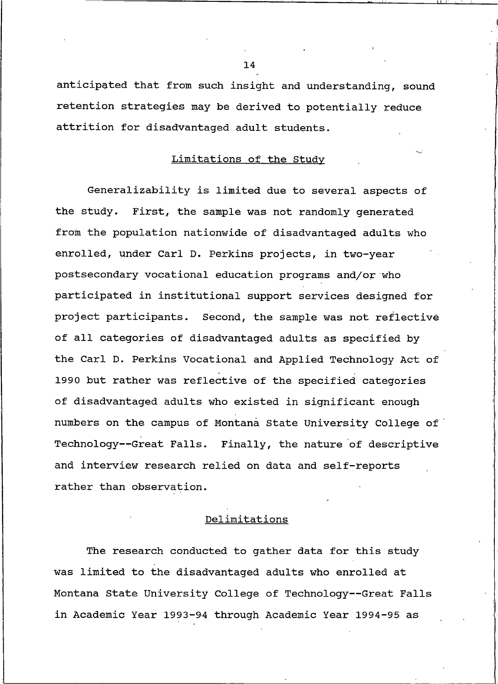anticipated that from such insight and understanding, sound retention strategies may be derived to potentially reduce attrition for disadvantaged adult students.

# Limitations of the Study

Generalizability is limited due to several aspects of the study. First, the sample was not randomly generated from the population nationwide of disadvantaged adults who enrolled, under Carl D. Perkins projects, in two-year postsecondary vocational education programs and/or who participated in institutional support services designed for project participants. Second, the sample was not reflective of all categories of disadvantaged adults as specified by the Carl D. Perkins Vocational and Applied Technology Act of 1990 but rather was reflective of the specified categories of disadvantaged adults who existed in significant enough numbers on the campus of Montana State University College of Technology--Great Falls. Finally, the nature of descriptive and interview research relied on data and self-reports rather than observation.

## Delimitations

The research conducted to gather data for this study was limited to the disadvantaged adults who enrolled at Montana State University College of Technology--Great Falls in Academic Year 1993-94 through Academic Year 1994-95 as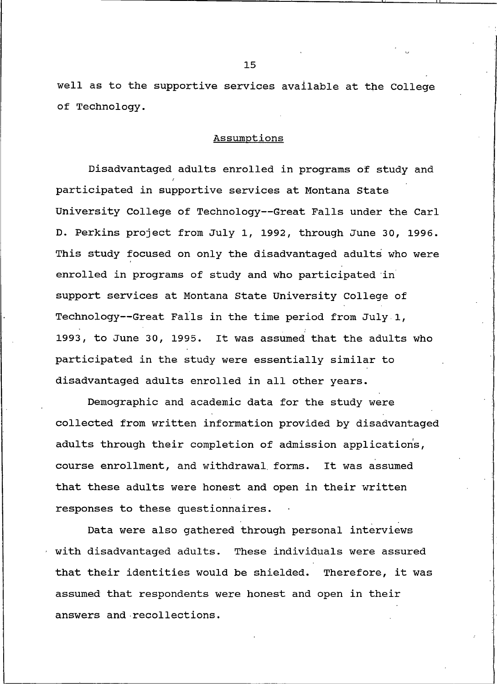well as to the supportive services available at the College of Technology.

#### Assumptions

Disadvantaged adults enrolled in programs of study and participated in supportive services at Montana State University College of Technology--Great Falls under the Carl D. Perkins project from July 1, 1992, through June 30, 1996. This study focused on only the disadvantaged adults who were enrolled in programs of study and who participated in support services at Montana State University College of Technology--Great Falls in the time period from July 1, 1993, to June 30, 1995. It was assumed that the adults who participated in the study were essentially similar to disadvantaged adults enrolled in all other years.

Demographic and academic data for the study were collected from written information provided by disadvantaged adults through their completion of admission applications, course enrollment, and withdrawal forms. It was assumed that these adults were honest and open in their written responses to these questionnaires.

Data were also gathered through personal interviews with disadvantaged adults. These individuals were assured that their identities would be shielded. Therefore, it was assumed that respondents were honest and open in their answers and recollections.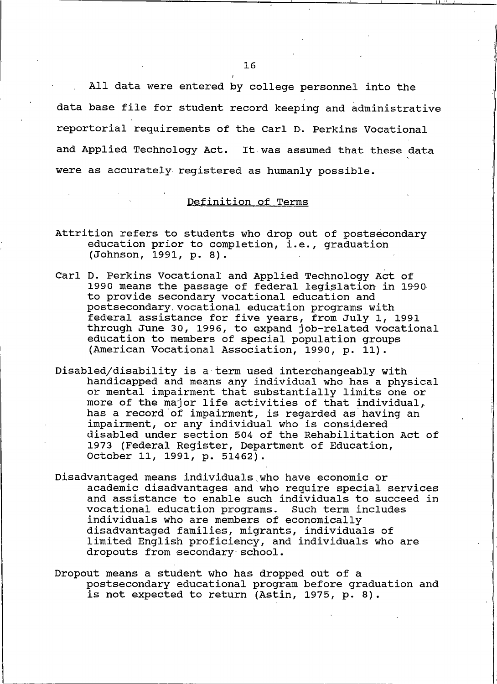All data were entered by college personnel into the data base file for student record keeping and administrative reportorial requirements of the Carl D. Perkins Vocational and Applied Technology Act. It was assumed that these data were as accurately registered as humanly possible.

### Definition of Terms

- Attrition refers to students who drop out of postsecondary education prior to completion, i.e., graduation (Johnson, 1991, p. 8).
- Carl D. Perkins Vocational and Applied Technology Act of 1990 means the passage of federal legislation in 1990 to provide secondary vocational education and postsecondary vocational education programs with federal assistance for five years, from July 1, 1991 through June 30, 1996, to expand job-related vocational education to members of special population groups (American Vocational Association, 1990, p. 11).
- Disabled/disability is a term used interchangeably with handicapped and means any individual who has a physical or mental impairment that substantially limits one or more of the major life activities of that individual, has a record of impairment, is regarded as having an impairment, or any individual who is considered disabled under section 504 of the Rehabilitation Act of 1973 (Federal Register, Department of Education, October 11, 1991, p. 51462).
- Disadvantaged means individuals who have economic or academic disadvantages and who require special services and assistance to enable such individuals to succeed in vocational education programs. Such term includes individuals who are members of economically disadvantaged families, migrants, individuals of limited English proficiency, and individuals who are dropouts from secondary school.
- Dropout means a student who has dropped out of a postsecondary educational program before graduation and is not expected to return (Astin, 1975, p. 8).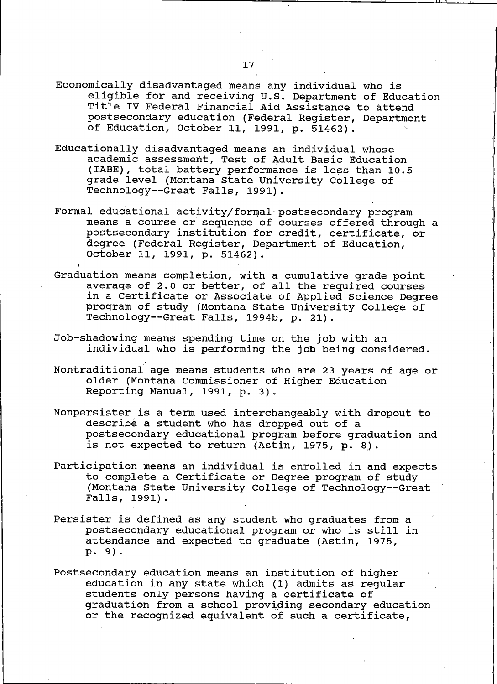- Economically disadvantaged means any individual who is eligible for and receiving U.S. Department of Education Title IV Federal Financial Aid Assistance to attend postsecondary education (Federal Register, Department of Education, October 11, 1991, p. 51462).
- Educationally disadvantaged means an individual whose academic assessment, Test of Adult Basic Education (TABE), total battery performance is less than 10.5 grade level (Montana State University College of Technology--Great Falls, 1991).
- Formal educational activity/formal postsecondary program means a course or sequence of courses offered through a postsecondary institution for credit, certificate, or degree (Federal Register, Department of Education, October 11, 1991, p. 51462).
- Graduation means completion, with a cumulative grade point average of 2.0 or better, of all the required courses in a Certificate or Associate of Applied Science Degree program of study (Montana State University College of Technology--Great Falls, 1994b, p. 21).
- Job-shadowing means spending time on the job with an individual who is performing the job being considered.
- Nontraditional age means students who are 23 years of age or older (Montana Commissioner of Higher Education Reporting Manual, 1991, p. 3).
- Nonpersister is a term used interchangeably with dropout to describe a student who has dropped out of a postsecondary educational program before graduation and is not expected to return (Astin, 1975, p. 8).
- Participation means an individual is enrolled in and expects to complete a Certificate or Degree program of study (Montana State University College of Technology--Great Falls, 1991).
- Persister is defined as any student who graduates from a postsecondary educational program or who is still in attendance and expected to graduate (Astin, 1975, p. 9).
- Postsecondary education means an institution of higher education in any state which (1) admits as regular students only persons having a certificate of graduation from a school providing secondary education or the recognized equivalent of such a certificate,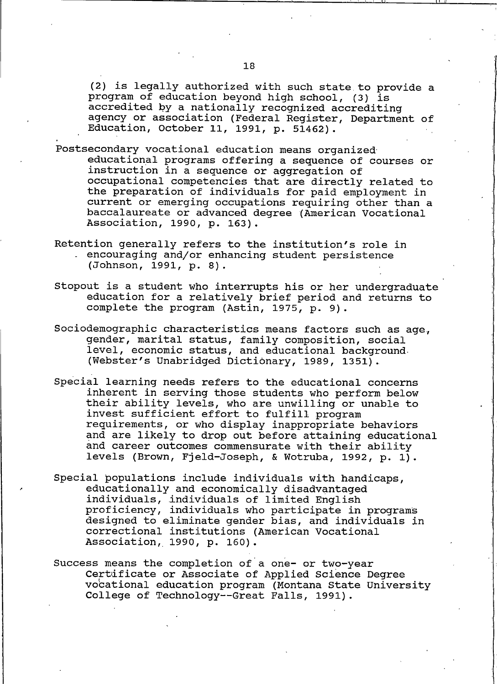(2) is legally authorized with such state to provide a program of education beyond high school, (3) is accredited by a nationally recognized accrediting agency or association (Federal Register, Department of Education, October 11, 1991, p. 51462).

- Postsecondary vocational education means organized educational programs offering a sequence of courses or instruction in a sequence or aggregation of occupational competencies that are directly related to the preparation of individuals for paid employment in current or emerging occupations requiring other than a baccalaureate or advanced degree (American Vocational Association, 1990, p. 163).
- Retention generally refers to the institution's role in encouraging and/or enhancing student persistence (Johnson, 1991, p. 8).
- Stopout is a student who interrupts his or her undergraduate education for a relatively brief period and returns to complete the program (Astin, 1975, p. 9).
- Sociodemographic characteristics means factors such as age, gender, marital status, family composition, social level, economic status, and educational background. (Webster's Unabridged Dictionary, 1989, 1351).
- Special learning needs refers to the educational concerns inherent in serving those students who perform below their ability levels, who are unwilling or unable to invest sufficient effort to fulfill program requirements, or who display inappropriate behaviors and are likely to drop out before attaining educational and career outcomes commensurate with their ability levels (Brown, Fjeld-Joseph, & Wotruba, 1992, p. 1).
- Special populations include individuals with handicaps, educationally and economically disadvantaged individuals, individuals of limited English proficiency, individuals who participate in programs designed to eliminate gender bias, and individuals in correctional institutions (American Vocational Association, 1990, p. 160).
- Success means the completion of a one- or two-year Certificate or Associate of Applied Science Degree vocational education program (Montana State University College of Technology -- Great Falls, 1991).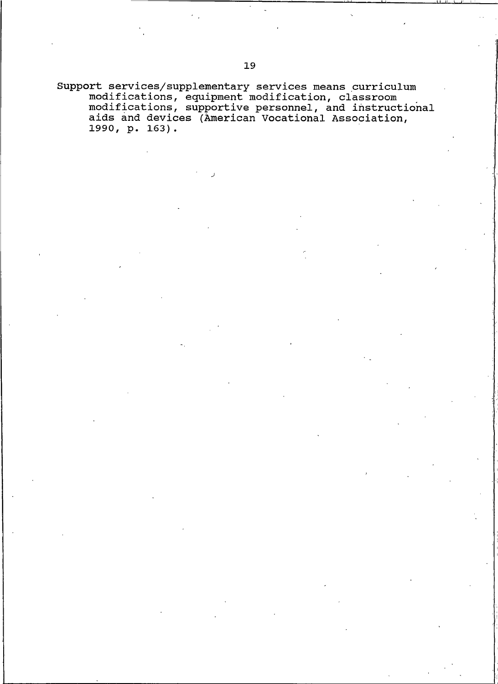Support services/supplementary services means curriculum<br>modifications, equipment modification, classroom<br>modifications, supportive personnel, and instructional<br>aids and devices (American Vocational Association, 1990, p. 163).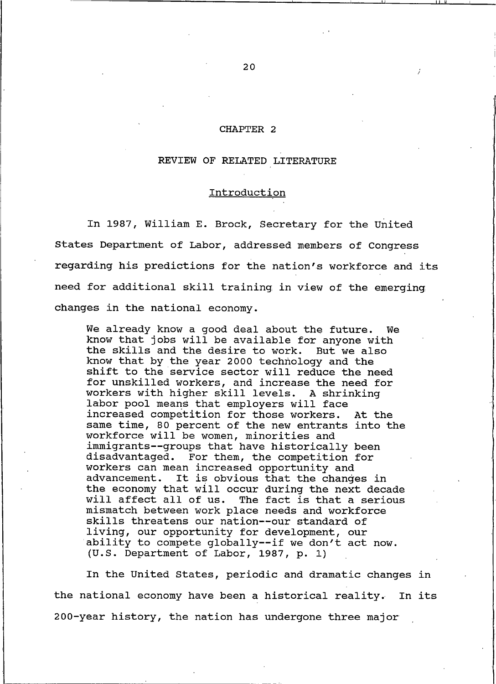#### CHAPTER 2

#### REVIEW OF RELATED LITERATURE

#### Introduction

In 1987, William E. Brock, Secretary for the United States Department of Labor, addressed members of Congress regarding his predictions for the nation's workforce and its need for additional skill training in view of the emerging changes in the national economy.

We already know a good deal about the future. We know that jobs will be available for anyone with the skills and the desire to work. But we also know that by the year 2000 technology and the shift to the service sector will reduce the need for unskilled workers, and increase the need for workers with higher skill levels. A shrinking labor pool means that employers will face increased competition for those workers. At the same time, 80 percent of the new entrants into the workforce will be women, minorities and immigrants--groups that have historically been disadvantaged. For them, the competition for workers can mean increased opportunity and advancement. It is obvious that the changes in the economy that will occur during the next decade will affect all of us. The fact is that a serious mismatch between work place needs and workforce skills threatens our nation--our standard of living, our opportunity for development, our ability to compete globally--if we don't act now. (U.S. Department of Labor, 1987, p. 1)

In the United States, periodic and dramatic changes in the national economy have been a historical reality. In its 200-year history, the nation has undergone three major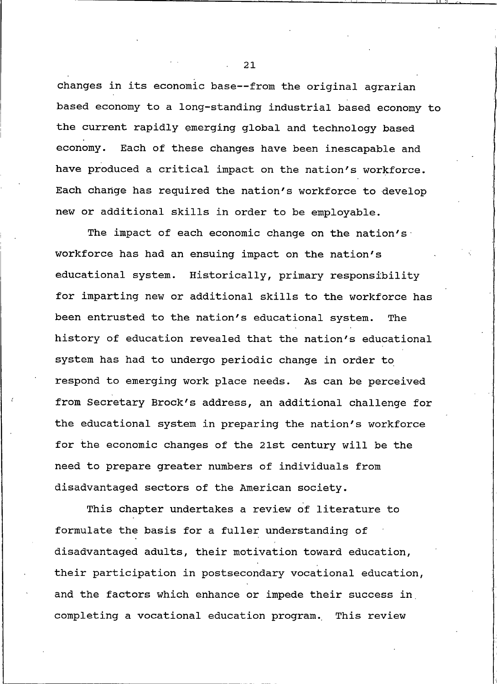changes in its economic base--from the original agrarian based economy to a long-standing industrial based economy to the current rapidly emerging global and technology based economy. Each of these changes have been inescapable and have produced a critical impact on the nation's workforce. Each change has required the nation's workforce to develop new or additional skills in order to be employable.

The impact of each economic change on the nation's workforce has had an ensuing impact on the nation's educational system. Historically, primary responsibility for imparting new or additional skills to the workforce has been entrusted to the nation's educational system. The history of education revealed that the nation's educational system has had to undergo periodic change in order to respond to emerging work place needs. As can be perceived from Secretary Brock's address, an additional challenge for the educational system in preparing the nation's workforce for the economic changes of the 21st century will be the need to prepare greater numbers of individuals from disadvantaged sectors of the American society.

This chapter undertakes a review of literature to formulate the basis for a fuller understanding of disadvantaged adults, their motivation toward education, their participation in postsecondary vocational education, and the factors which enhance or impede their success in completing a vocational education program. This review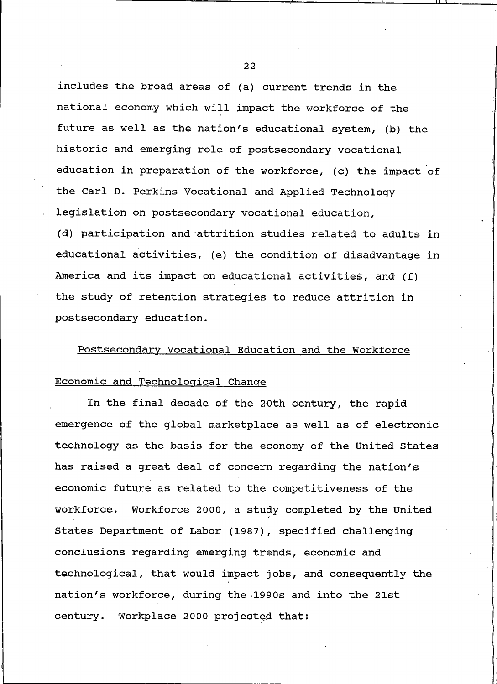includes the broad areas of (a) current trends in the national economy which will impact the workforce of the future as well as the nation's educational system, (b) the historic and emerging role of postsecondary vocational education in preparation of the workforce, (c) the impact of the Carl D. Perkins Vocational and Applied Technology legislation on postsecondary vocational education, (d) participation and attrition studies related to adults in educational activities, (e) the condition of disadvantage in America and its impact on educational activities, and (f) the study of retention strategies to reduce attrition in postsecondary education.

## Postsecondary Vocational Education and the Workforce

# Economic and Technological Change

In the final decade of the 20th century, the rapid emergence of the global marketplace as well as of electronic technology as the basis for the economy of the United States has raised a great deal of concern regarding the nation's economic future as related to the competitiveness of the workforce. Workforce 2000, a study completed by the United States Department of Labor (1987), specified challenging conclusions regarding emerging trends, economic and technological, that would impact jobs, and consequently the nation's workforce, during the 1990s and into the 21st century. Workplace 2000 projected that:

 $22^{2}$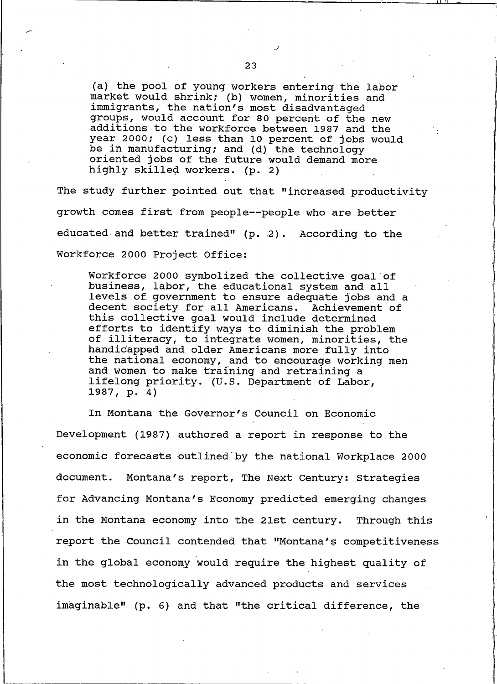(a) the pool of young workers entering the labor market would shrink; (b) women, minorities and immigrants, the nation's most disadvantaged groups, would account for 80 percent of the new additions to the workforce between 1987 and the year 2000; (c) less than 10 percent of jobs would be in manufacturing; and (d) the technology oriented jobs of the future would demand more highly skilled workers. (p. 2)

The study further pointed out that "increased productivity growth comes first from people--people who are better educated and better trained" (p. 2). According to the Workforce 2000 Project Office:

Workforce 2000 symbolized the collective goal of business, labor, the educational system and all levels of government to ensure adequate jobs and a decent society for all Americans. Achievement of this collective goal would include determined efforts to identify ways to diminish the problem of illiteracy, to integrate women, minorities, the handicapped and older Americans more fully into the national economy, and to encourage working men and women to make training and retraining a lifelong priority. (U.S. Department of Labor, 1987, p. 4)

In Montana the Governor's Council on Economic Development (1987) authored a report in response to the economic forecasts outlined by the national Workplace 2000 document. Montana's report, The Next Century: Strategies for Advancing Montana's Economy predicted emerging changes in the Montana economy into the 21st century. Through this report the Council contended that "Montana's competitiveness in the global economy would require the highest quality of the most technologically advanced products and services imaginable" (p. 6) and that "the critical difference, the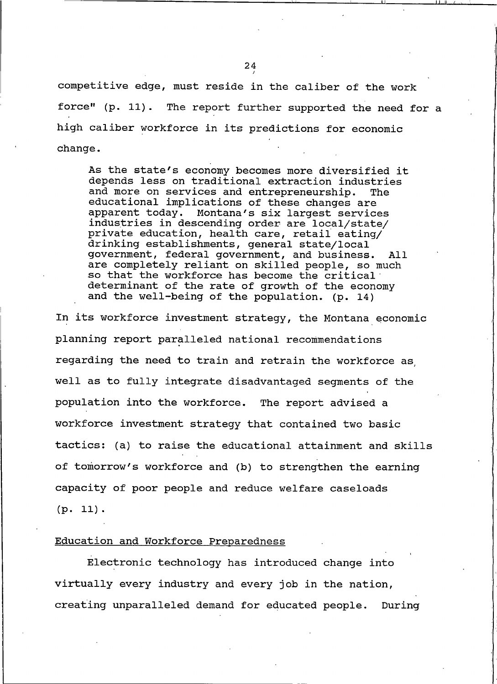competitive edge, must reside in the caliber of the work force" (p. 11). The report further supported the need for a high caliber workforce in its predictions for economic change.

As the state's economy becomes more diversified it depends less on traditional extraction industries and more on services and entrepreneurship. The educational implications of these changes are apparent today. Montana's six largest services industries in descending order are local/state/ private education, health care, retail eating/ drinking establishments, general state/local government, federal government, and business. All. are completely reliant on skilled people, so much so that the workforce has become the critical determinant of the rate of growth of the economy and the well-being of the population. (p. 14)

In its workforce investment strategy, the Montana economic planning report paralleled national recommendations regarding the need to train and retrain the workforce as well as to fully integrate disadvantaged segments of the population into the workforce. The report advised a workforce investment strategy that contained two basic tactics: (a) to raise the educational attainment and skills of tomorrow's workforce and (b) to strengthen the earning capacity of poor people and reduce welfare caseloads  $(p. 11).$ 

#### Education and Workforce Preparedness

Electronic technology has introduced change into virtually every industry and every job in the nation, creating unparalleled demand for educated people. During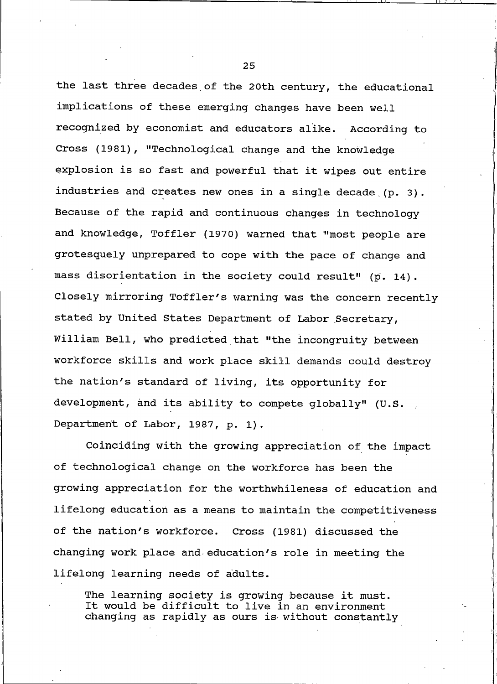the last three decades of the 20th century, the educational implications of these emerging changes have been well recognized by economist and educators alike. According to Cross (1981), "Technological change and the knowledge explosion is so fast and powerful that it wipes out entire industries and creates new ones in a single decade (p. 3). Because of the rapid and continuous changes in technology and knowledge, Toffler (1970) warned that "most people are grotesquely unprepared to cope with the pace of change and mass disorientation in the society could result" (p. 14). Closely mirroring Toffler's warning was the concern recently stated by United States Department of Labor Secretary, William Bell, who predicted that "the incongruity between workforce skills and work place skill demands could destroy the nation's standard of living, its opportunity for development, and its ability to compete globally" (U.S. Department of Labor, 1987, p. 1).

Coinciding with the growing appreciation of the impact of technological change on the workforce has been the growing appreciation for the worthwhileness of education and lifelong education as a means to maintain the competitiveness of the nation's workforce. Cross (1981) discussed the changing work place and education's role in meeting the lifelong learning needs of adults.

The learning society is growing because it must. It would be difficult to live in an environment changing as rapidly as ours is without constantly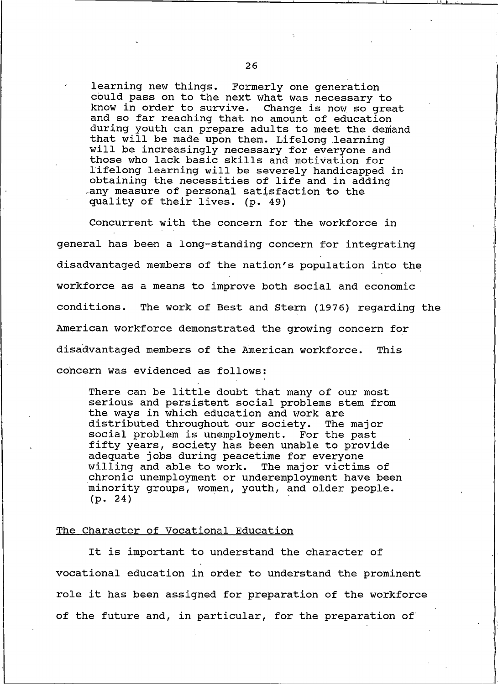learning new things. Formerly one generation could pass on to the next what was necessary to know in order to survive. Change is now so great and so far reaching that no amount of education during youth can prepare adults to meet the demand that will be made upon them. Lifelong learning will be increasingly necessary for everyone and those who lack basic skills and motivation for lifelong learning will be severely handicapped in obtaining the necessities of life and in adding any measure of personal satisfaction to the quality of their lives. (p. 49)

Concurrent with the concern for the workforce in general has been a long-standing concern for integrating disadvantaged members of the nation's population into the workforce as a means to improve both social and economic conditions. The work of Best and Stern (1976) regarding the American workforce demonstrated the growing concern for disadvantaged members of the American workforce. This concern was evidenced as follows:

There can be little doubt that many of our most serious and persistent social problems stem from the ways in which education and work are distributed throughout our society. The major social problem is unemployment. For the past fifty years, society has been unable to provide adequate jobs during peacetime for everyone willing and able to work. The major victims of chronic unemployment or underemployment have been minority groups, women, youth, and older people.  $(p. 24)$ 

#### The Character of Vocational Education

It is important to understand the character of vocational education in order to understand the prominent role it has been assigned for preparation of the workforce of the future and, in particular, for the preparation of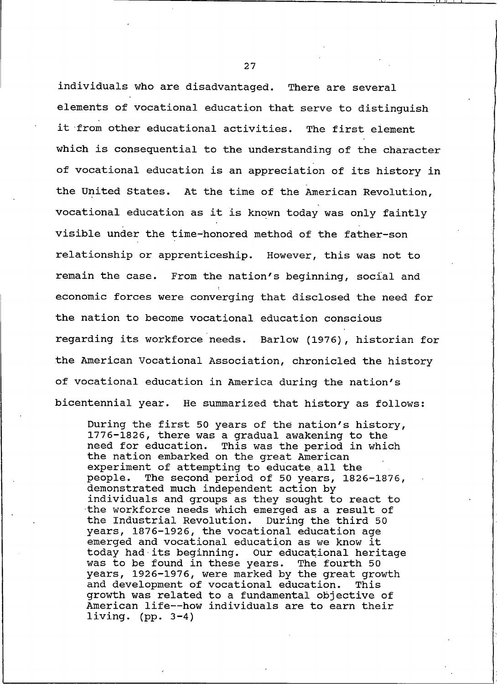individuals who are disadvantaged. There are several elements of vocational education that serve to distinguish it from other educational activities. The first element which is consequential to the understanding of the character of vocational education is an appreciation of its history in the United States. At the time of the American Revolution, vocational education as it is known today was only faintly visible under the time-honored method of the father-son relationship or apprenticeship. However, this was not to remain the case. From the nation's beginning, social and economic forces were converging that disclosed the need for the nation to become vocational education conscious regarding its workforce needs. Barlow (1976), historian for the American Vocational Association, chronicled the history of vocational education in America during the nation's bicentennial year. He summarized that history as follows:

During the first 50 years of the nation's history, 1776-1826, there was a gradual awakening to the need for education. This was the period in which the nation embarked on the great American experiment of attempting to educate all the The second period of 50 years, 1826-1876, people. demonstrated much independent action by individuals and groups as they sought to react to the workforce needs which emerged as a result of the Industrial Revolution. During the third 50 years, 1876-1926, the vocational education age emerged and vocational education as we know it today had its beginning. Our educational heritage was to be found in these years. The fourth 50 years, 1926-1976, were marked by the great growth and development of vocational education. This growth was related to a fundamental objective of American life--how individuals are to earn their living.  $(pp. 3-4)$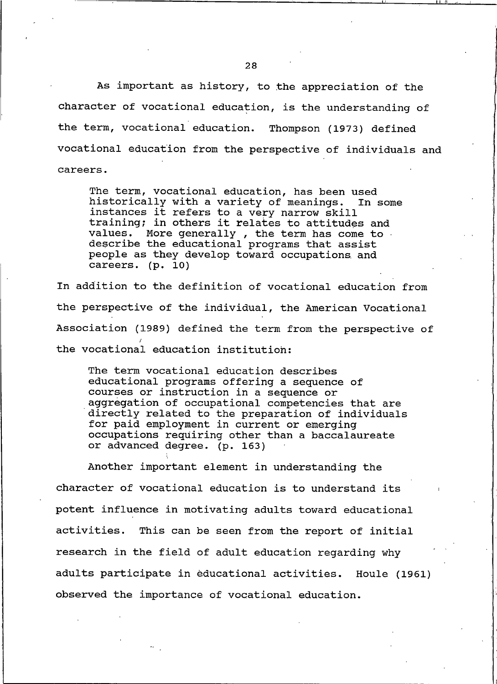As important as history, to the appreciation of the character of vocational education, is the understanding of the term, vocational education. Thompson (1973) defined vocational education from the perspective of individuals and careers.

The term, vocational education, has been used historically with a variety of meanings. In some instances it refers to a very narrow skill training; in others it relates to attitudes and values. More generally, the term has come to. describe the educational programs that assist people as they develop toward occupations and careers. (p. 10)

In addition to the definition of vocational education from the perspective of the individual, the American Vocational Association (1989) defined the term from the perspective of the vocational education institution:

The term vocational education describes educational programs offering a sequence of courses or instruction in a sequence or aggregation of occupational competencies that are directly related to the preparation of individuals for paid employment in current or emerging occupations requiring other than a baccalaureate or advanced degree. (p. 163)

Another important element in understanding the character of vocational education is to understand its potent influence in motivating adults toward educational activities. This can be seen from the report of initial research in the field of adult education regarding why adults participate in educational activities. Houle (1961) observed the importance of vocational education.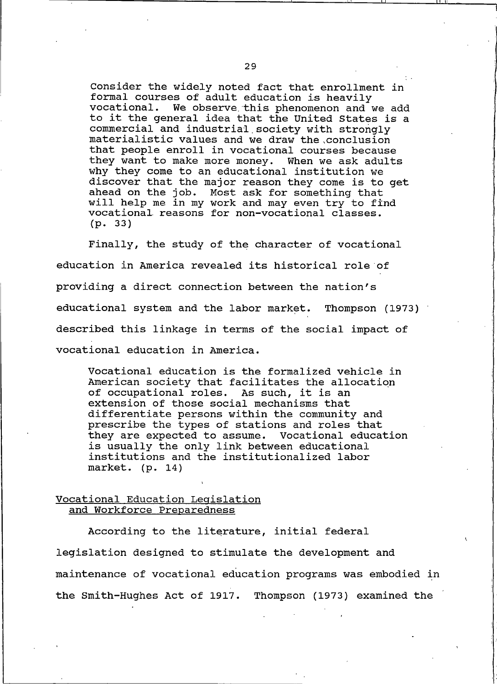Consider the widely noted fact that enrollment in formal courses of adult education is heavily vocational. We observe this phenomenon and we add to it the general idea that the United States is a commercial and industrial society with strongly materialistic values and we draw the conclusion that people enroll in vocational courses because they want to make more money. When we ask adults why they come to an educational institution we discover that the major reason they come is to get ahead on the job. Most ask for something that will help me in my work and may even try to find vocational reasons for non-vocational classes.  $(p. 33)$ 

Finally, the study of the character of vocational education in America revealed its historical role of providing a direct connection between the nation's educational system and the labor market. Thompson (1973) described this linkage in terms of the social impact of vocational education in America.

Vocational education is the formalized vehicle in American society that facilitates the allocation of occupational roles. As such, it is an extension of those social mechanisms that differentiate persons within the community and prescribe the types of stations and roles that they are expected to assume. Vocational education is usually the only link between educational institutions and the institutionalized labor market.  $(p. 14)$ 

#### Vocational Education Legislation and Workforce Preparedness

According to the literature, initial federal legislation designed to stimulate the development and maintenance of vocational education programs was embodied in the Smith-Hughes Act of 1917. Thompson (1973) examined the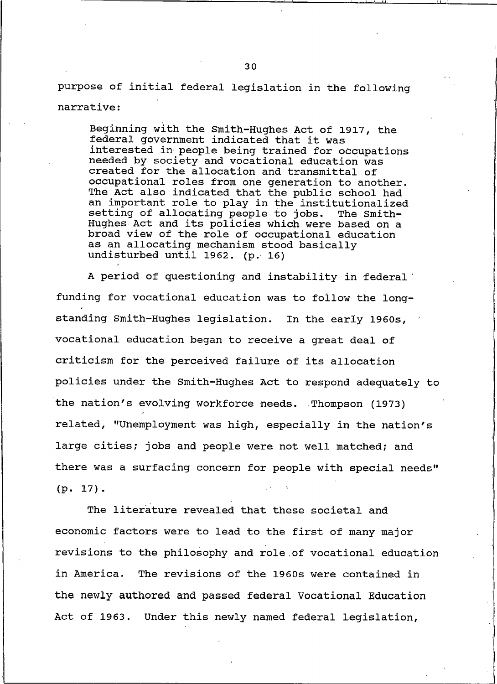purpose of initial federal legislation in the following narrative:

Beginning with the Smith-Hughes Act of 1917, the federal government indicated that it was interested in people being trained for occupations needed by society and vocational education was created for the allocation and transmittal of occupational roles from one generation to another. The Act also indicated that the public school had an important role to play in the institutionalized setting of allocating people to jobs. The Smith-Hughes Act and its policies which were based on a broad view of the role of occupational education as an allocating mechanism stood basically undisturbed until 1962. (p. 16)

A period of questioning and instability in federal funding for vocational education was to follow the longstanding Smith-Hughes legislation. In the early 1960s, vocational education began to receive a great deal of criticism for the perceived failure of its allocation policies under the Smith-Hughes Act to respond adequately to the nation's evolving workforce needs. Thompson (1973) related, "Unemployment was high, especially in the nation's large cities; jobs and people were not well matched; and there was a surfacing concern for people with special needs"  $(p. 17).$ 

The literature revealed that these societal and economic factors were to lead to the first of many major revisions to the philosophy and role of vocational education in America. The revisions of the 1960s were contained in the newly authored and passed federal Vocational Education Act of 1963. Under this newly named federal legislation,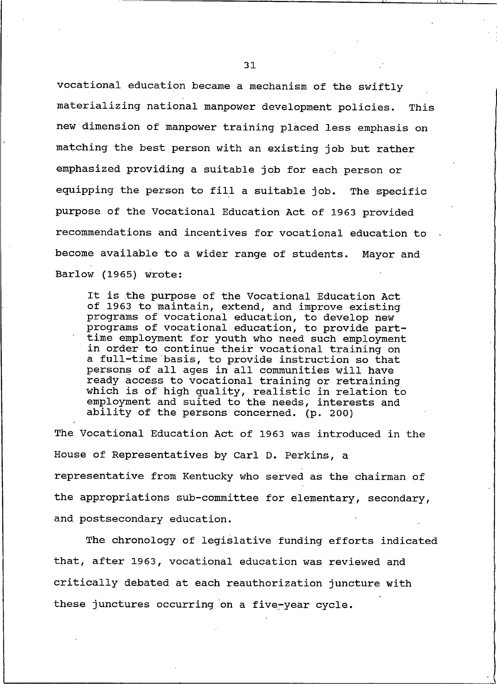vocational education became a mechanism of the swiftly materializing national manpower development policies. This new dimension of manpower training placed less emphasis on matching the best person with an existing job but rather emphasized providing a suitable job for each person or equipping the person to fill a suitable job. The specific purpose of the Vocational Education Act of 1963 provided recommendations and incentives for vocational education to become available to a wider range of students. Mayor and Barlow (1965) wrote:

It is the purpose of the Vocational Education Act of 1963 to maintain, extend, and improve existing programs of vocational education, to develop new programs of vocational education, to provide parttime employment for youth who need such employment in order to continue their vocational training on a full-time basis, to provide instruction so that persons of all ages in all communities will have ready access to vocational training or retraining which is of high quality, realistic in relation to employment and suited to the needs, interests and ability of the persons concerned. (p. 200)

The Vocational Education Act of 1963 was introduced in the House of Representatives by Carl D. Perkins, a representative from Kentucky who served as the chairman of the appropriations sub-committee for elementary, secondary, and postsecondary education.

The chronology of legislative funding efforts indicated that, after 1963, vocational education was reviewed and critically debated at each reauthorization juncture with these junctures occurring on a five-year cycle.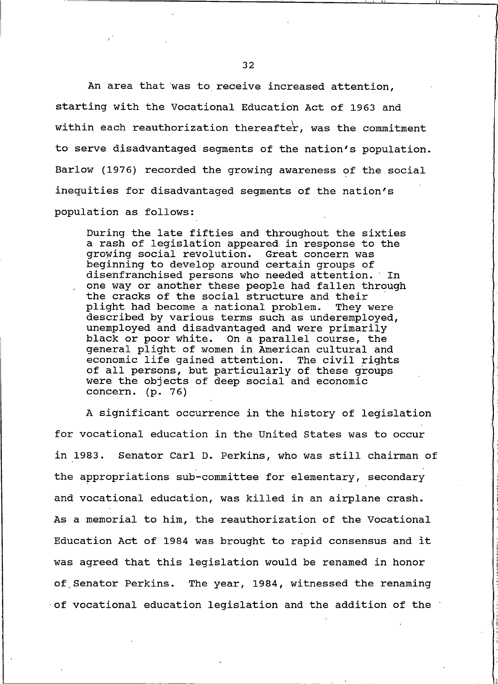An area that was to receive increased attention, starting with the Vocational Education Act of 1963 and within each reauthorization thereafter, was the commitment to serve disadvantaged segments of the nation's population. Barlow (1976) recorded the growing awareness of the social inequities for disadvantaged seqments of the nation's population as follows:

During the late fifties and throughout the sixties a rash of legislation appeared in response to the growing social revolution. Great concern was beginning to develop around certain groups of disenfranchised persons who needed attention. In one way or another these people had fallen through the cracks of the social structure and their plight had become a national problem. They were described by various terms such as underemployed, unemployed and disadvantaged and were primarily black or poor white. On a parallel course, the general plight of women in American cultural and economic life gained attention. The civil rights of all persons, but particularly of these groups were the objects of deep social and economic concern.  $(p. 76)$ 

A significant occurrence in the history of legislation for vocational education in the United States was to occur in 1983. Senator Carl D. Perkins, who was still chairman of the appropriations sub-committee for elementary, secondary and vocational education, was killed in an airplane crash. As a memorial to him, the reauthorization of the Vocational Education Act of 1984 was brought to rapid consensus and it was agreed that this legislation would be renamed in honor of Senator Perkins. The year, 1984, witnessed the renaming of vocational education legislation and the addition of the  $\dot{\ }$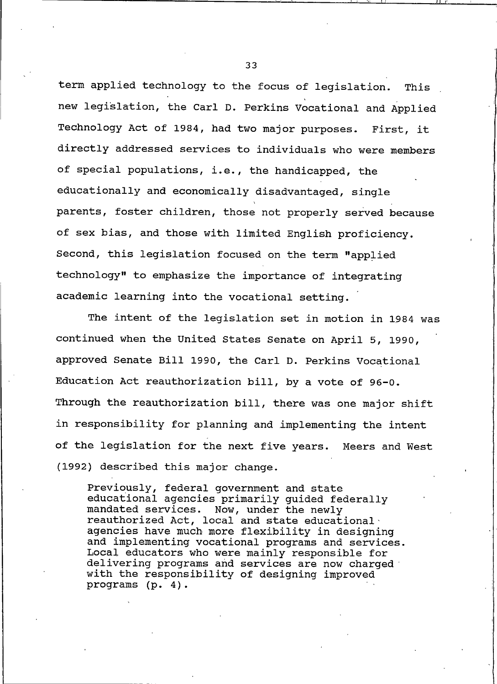term applied technology to the focus of legislation. This new legislation, the Carl D. Perkins Vocational and Applied Technology Act of 1984, had two major purposes. First, it directly addressed services to individuals who were members of special populations, i.e., the handicapped, the educationally and economically disadvantaged, single parents, foster children, those not properly served because of sex bias, and those with limited English proficiency. Second, this legislation focused on the term "applied technology" to emphasize the importance of integrating academic learning into the vocational setting.

The intent of the legislation set in motion in 1984 was continued when the United States Senate on April 5, 1990, approved Senate Bill 1990, the Carl D. Perkins Vocational Education Act reauthorization bill, by a vote of 96-0. Through the reauthorization bill, there was one major shift in responsibility for planning and implementing the intent of the legislation for the next five years. Meers and West (1992) described this major change.

Previously, federal government and state educational agencies primarily guided federally mandated services. Now, under the newly reauthorized Act, local and state educational agencies have much more flexibility in designing and implementing vocational programs and services. Local educators who were mainly responsible for delivering programs and services are now charged with the responsibility of designing improved programs (p. 4).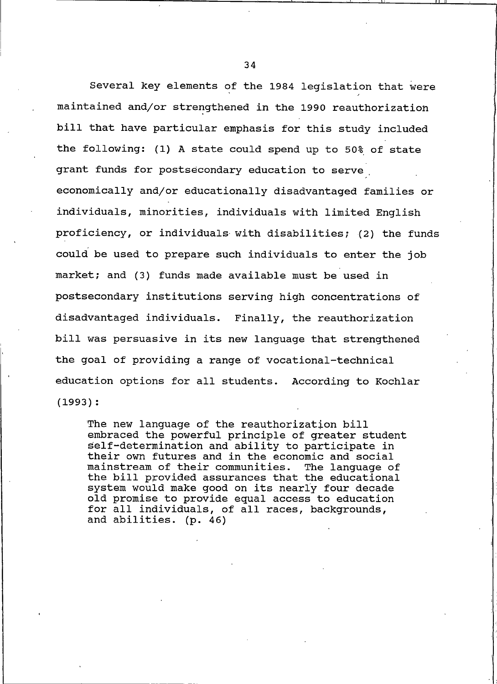Several key elements of the 1984 legislation that were maintained and/or strengthened in the 1990 reauthorization bill that have particular emphasis for this study included the following: (1) A state could spend up to 50% of state grant funds for postsecondary education to serve economically and/or educationally disadvantaged families or individuals, minorities, individuals with limited English proficiency, or individuals with disabilities; (2) the funds could be used to prepare such individuals to enter the job market; and (3) funds made available must be used in postsecondary institutions serving high concentrations of disadvantaged individuals. Finally, the reauthorization bill was persuasive in its new language that strengthened the goal of providing a range of vocational-technical education options for all students. According to Kochlar  $(1993):$ 

The new language of the reauthorization bill embraced the powerful principle of greater student self-determination and ability to participate in their own futures and in the economic and social mainstream of their communities. The language of the bill provided assurances that the educational system would make good on its nearly four decade old promise to provide equal access to education for all individuals, of all races, backgrounds, and abilities. (p. 46)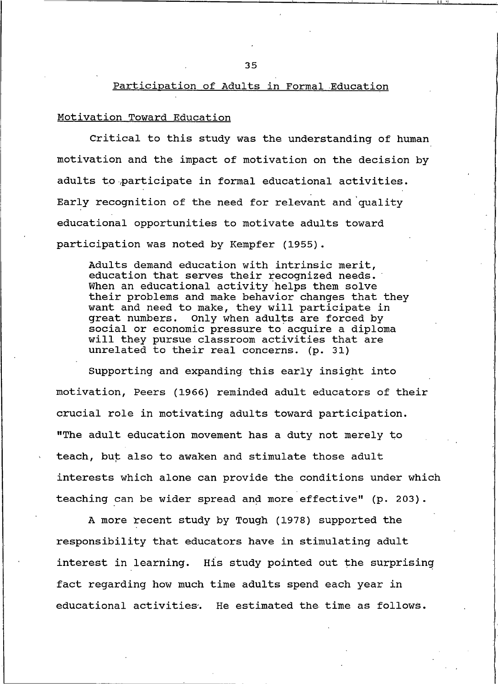# Participation of Adults in Formal Education

#### Motivation Toward Education

Critical to this study was the understanding of human motivation and the impact of motivation on the decision by adults to participate in formal educational activities. Early recognition of the need for relevant and quality educational opportunities to motivate adults toward participation was noted by Kempfer (1955).

Adults demand education with intrinsic merit, education that serves their recognized needs. When an educational activity helps them solve their problems and make behavior changes that they want and need to make, they will participate in great numbers. Only when adults are forced by social or economic pressure to acquire a diploma will they pursue classroom activities that are unrelated to their real concerns. (p. 31)

Supporting and expanding this early insight into motivation, Peers (1966) reminded adult educators of their crucial role in motivating adults toward participation. "The adult education movement has a duty not merely to teach, but also to awaken and stimulate those adult interests which alone can provide the conditions under which teaching can be wider spread and more effective" (p. 203).

A more recent study by Tough (1978) supported the responsibility that educators have in stimulating adult interest in learning. His study pointed out the surprising fact regarding how much time adults spend each year in educational activities. He estimated the time as follows.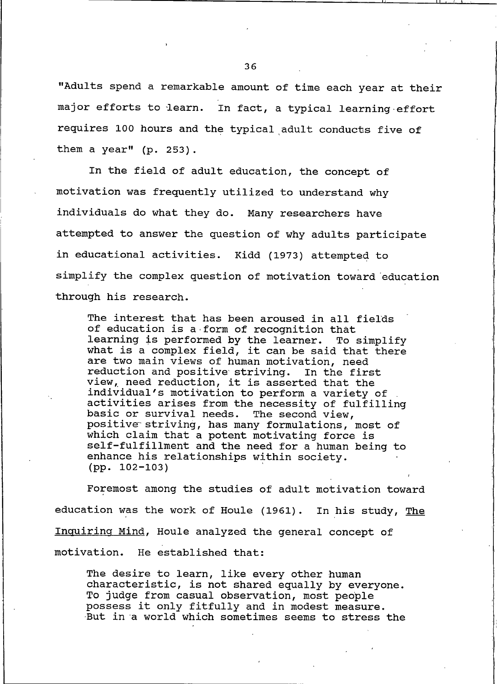"Adults spend a remarkable amount of time each year at their major efforts to learn. In fact, a typical learning effort requires 100 hours and the typical adult conducts five of them a year" (p. 253).

In the field of adult education, the concept of motivation was frequently utilized to understand why individuals do what they do. Many researchers have attempted to answer the question of why adults participate in educational activities. Kidd (1973) attempted to simplify the complex question of motivation toward education through his research.

The interest that has been aroused in all fields of education is a form of recognition that learning is performed by the learner. To simplify what is a complex field, it can be said that there are two main views of human motivation, need reduction and positive striving. In the first view, need reduction, it is asserted that the individual's motivation to perform a variety of activities arises from the necessity of fulfilling basic or survival needs. The second view, positive striving, has many formulations, most of which claim that a potent motivating force is self-fulfillment and the need for a human being to enhance his relationships within society.  $(pp. 102-103)$ 

Foremost among the studies of adult motivation toward education was the work of Houle (1961). In his study, The Inquiring Mind, Houle analyzed the general concept of motivation. He established that:

The desire to learn, like every other human characteristic, is not shared equally by everyone. To judge from casual observation, most people possess it only fitfully and in modest measure. But in a world which sometimes seems to stress the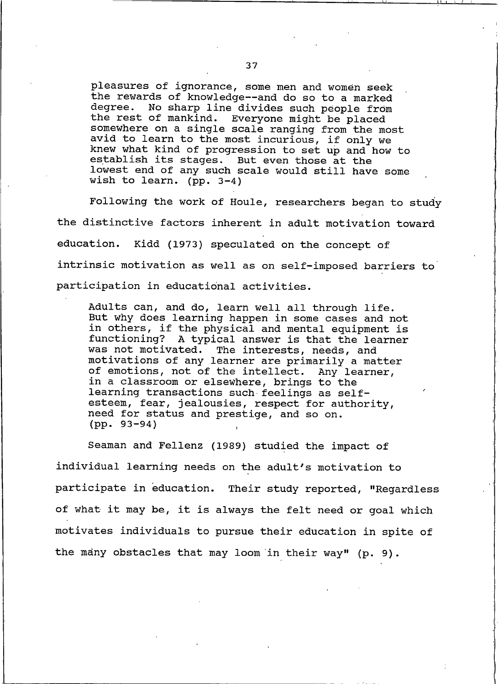pleasures of ignorance, some men and women seek the rewards of knowledge -- and do so to a marked degree. No sharp line divides such people from the rest of mankind. Everyone might be placed somewhere on a single scale ranging from the most avid to learn to the most incurious, if only we knew what kind of progression to set up and how to establish its stages. But even those at the lowest end of any such scale would still have some wish to learn. (pp.  $3-4$ )

Following the work of Houle, researchers began to study the distinctive factors inherent in adult motivation toward Kidd (1973) speculated on the concept of education. intrinsic motivation as well as on self-imposed barriers to participation in educational activities.

Adults can, and do, learn well all through life. But why does learning happen in some cases and not in others, if the physical and mental equipment is functioning? A typical answer is that the learner was not motivated. The interests, needs, and motivations of any learner are primarily a matter of emotions, not of the intellect. Any learner, in a classroom or elsewhere, brings to the learning transactions such feelings as selfesteem, fear, jealousies, respect for authority, need for status and prestige, and so on.  $(pp. 93-94)$ 

Seaman and Fellenz (1989) studied the impact of individual learning needs on the adult's motivation to participate in education. Their study reported, "Regardless of what it may be, it is always the felt need or goal which motivates individuals to pursue their education in spite of the many obstacles that may loom in their way" (p. 9).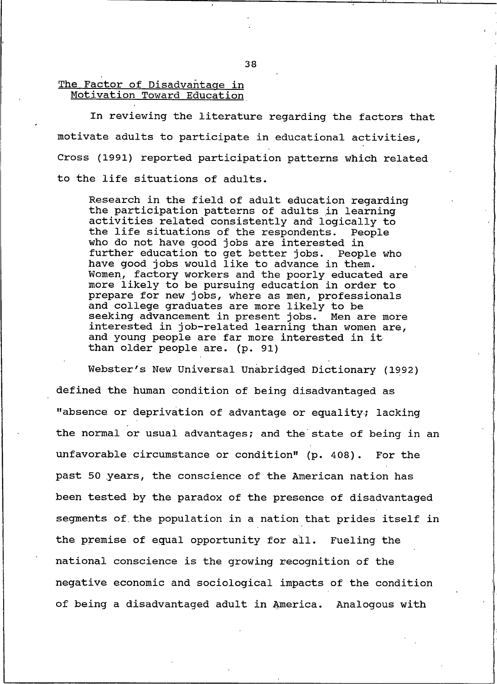The Factor of Disadvantage in Motivation Toward Education

In reviewing the literature regarding the factors that motivate adults to participate in educational activities, Cross (1991) reported participation patterns which related to the life situations of adults.

Research in the field of adult education regarding the participation patterns of adults in learning activities related consistently and logically to the life situations of the respondents. People who do not have good jobs are interested in further education to get better jobs. People who have good jobs would like to advance in them. Women, factory workers and the poorly educated are more likely to be pursuing education in order to prepare for new jobs, where as men, professionals<br>and college graduates are more likely to be seeking advancement in present jobs. Men are more interested in job-related learning than women are, and young people are far more interested in it than older people are. (p. 91)

Webster's New Universal Unabridged Dictionary (1992) defined the human condition of being disadvantaged as "absence or deprivation of advantage or equality; lacking the normal or usual advantages; and the state of being in an unfavorable circumstance or condition" (p. 408). For the past 50 years, the conscience of the American nation has been tested by the paradox of the presence of disadvantaged segments of the population in a nation that prides itself in the premise of equal opportunity for all. Fueling the national conscience is the growing recognition of the negative economic and sociological impacts of the condition of being a disadvantaged adult in America. Analogous with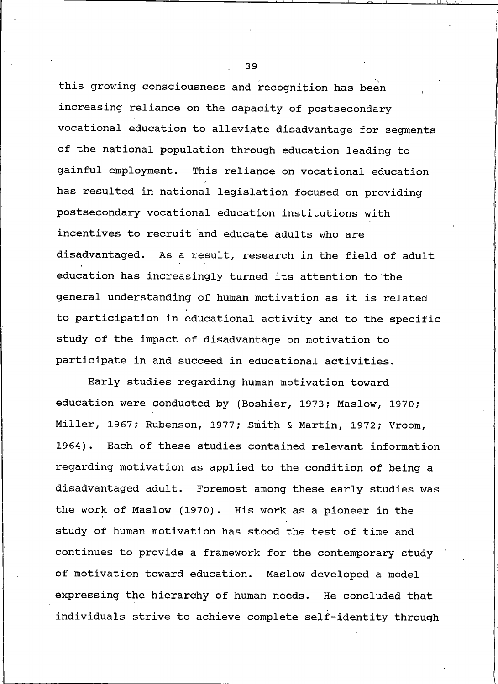this growing consciousness and recognition has been increasing reliance on the capacity of postsecondary vocational education to alleviate disadvantage for segments of the national population through education leading to gainful employment. This reliance on vocational education has resulted in national legislation focused on providing postsecondary vocational education institutions with incentives to recruit and educate adults who are disadvantaged. As a result, research in the field of adult education has increasingly turned its attention to the general understanding of human motivation as it is related to participation in educational activity and to the specific study of the impact of disadvantage on motivation to participate in and succeed in educational activities.

Early studies regarding human motivation toward education were conducted by (Boshier, 1973; Maslow, 1970; Miller, 1967; Rubenson, 1977; Smith & Martin, 1972; Vroom, 1964). Each of these studies contained relevant information regarding motivation as applied to the condition of being a disadvantaged adult. Foremost among these early studies was the work of Maslow (1970). His work as a pioneer in the study of human motivation has stood the test of time and continues to provide a framework for the contemporary study of motivation toward education. Maslow developed a model expressing the hierarchy of human needs. He concluded that individuals strive to achieve complete self-identity through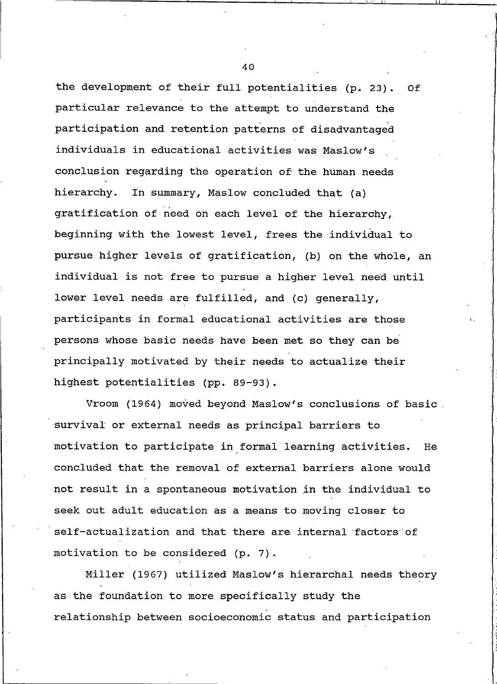the development of their full potentialities (p. 23). Of particular relevance to the attempt to understand the participation and retention patterns of disadvantaged individuals in educational activities was Maslow's conclusion regarding the operation of the human needs hierarchy. In summary, Maslow concluded that (a) gratification of need on each level of the hierarchy, beginning with the lowest level, frees the individual to pursue higher levels of gratification, (b) on the whole, an individual is not free to pursue a higher level need until lower level needs are fulfilled, and (c) generally, participants in formal educational activities are those persons whose basic needs have been met so they can be principally motivated by their needs to actualize their highest potentialities (pp. 89-93).

Vroom (1964) moved beyond Maslow's conclusions of basic. survival or external needs as principal barriers to motivation to participate in formal learning activities. He concluded that the removal of external barriers alone would not result in a spontaneous motivation in the individual to seek out adult education as a means to moving closer to self-actualization and that there are internal factors of motivation to be considered (p. 7).

Miller (1967) utilized Maslow's hierarchal needs theory as the foundation to more specifically study the relationship between socioeconomic status and participation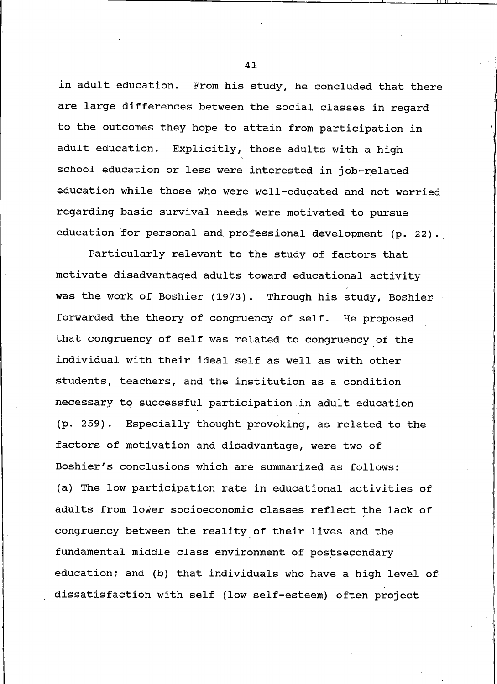in adult education. From his study, he concluded that there are large differences between the social classes in regard to the outcomes they hope to attain from participation in adult education. Explicitly, those adults with a high school education or less were interested in job-related education while those who were well-educated and not worried regarding basic survival needs were motivated to pursue education for personal and professional development (p. 22).

Particularly relevant to the study of factors that motivate disadvantaged adults toward educational activity was the work of Boshier (1973). Through his study, Boshier forwarded the theory of congruency of self. He proposed that congruency of self was related to congruency of the individual with their ideal self as well as with other students, teachers, and the institution as a condition necessary to successful participation in adult education Especially thought provoking, as related to the  $(p. 259).$ factors of motivation and disadvantage, were two of Boshier's conclusions which are summarized as follows: (a) The low participation rate in educational activities of adults from lower socioeconomic classes reflect the lack of congruency between the reality of their lives and the fundamental middle class environment of postsecondary education; and (b) that individuals who have a high level of dissatisfaction with self (low self-esteem) often project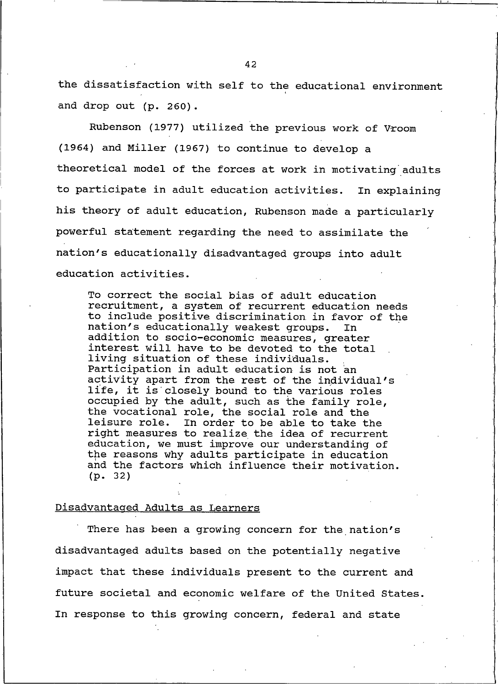42

the dissatisfaction with self to the educational environment and drop out (p. 260).

Rubenson (1977) utilized the previous work of Vroom (1964) and Miller (1967) to continue to develop a theoretical model of the forces at work in motivating adults to participate in adult education activities. In explaining his theory of adult education, Rubenson made a particularly powerful statement regarding the need to assimilate the nation's educationally disadvantaged groups into adult education activities.

To correct the social bias of adult education recruitment, a system of recurrent education needs to include positive discrimination in favor of the nation's educationally weakest groups. **In** addition to socio-economic measures, greater interest will have to be devoted to the total living situation of these individuals. Participation in adult education is not an activity apart from the rest of the individual's life, it is closely bound to the various roles occupied by the adult, such as the family role, the vocational role, the social role and the leisure role. In order to be able to take the right measures to realize the idea of recurrent education, we must improve our understanding of the reasons why adults participate in education and the factors which influence their motivation.  $(p. 32)$ 

### Disadvantaged Adults as Learners

There has been a growing concern for the nation's disadvantaged adults based on the potentially negative impact that these individuals present to the current and future societal and economic welfare of the United States. In response to this growing concern, federal and state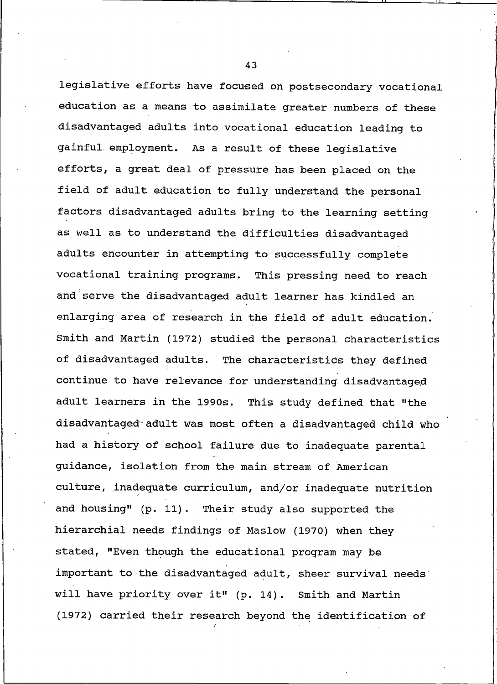legislative efforts have focused on postsecondary vocational education as a means to assimilate greater numbers of these disadvantaged adults into vocational education leading to gainful employment. As a result of these legislative efforts, a great deal of pressure has been placed on the field of adult education to fully understand the personal factors disadvantaged adults bring to the learning setting as well as to understand the difficulties disadvantaged adults encounter in attempting to successfully complete vocational training programs. This pressing need to reach and serve the disadvantaged adult learner has kindled an enlarging area of research in the field of adult education. Smith and Martin (1972) studied the personal characteristics of disadvantaged adults. The characteristics they defined continue to have relevance for understanding disadvantaged adult learners in the 1990s. This study defined that "the disadvantaged adult was most often a disadvantaged child who had a history of school failure due to inadequate parental guidance, isolation from the main stream of American culture, inadequate curriculum, and/or inadequate nutrition and housing" (p. 11). Their study also supported the hierarchial needs findings of Maslow (1970) when they stated, "Even though the educational program may be important to the disadvantaged adult, sheer survival needs will have priority over it" (p. 14). Smith and Martin (1972) carried their research beyond the identification of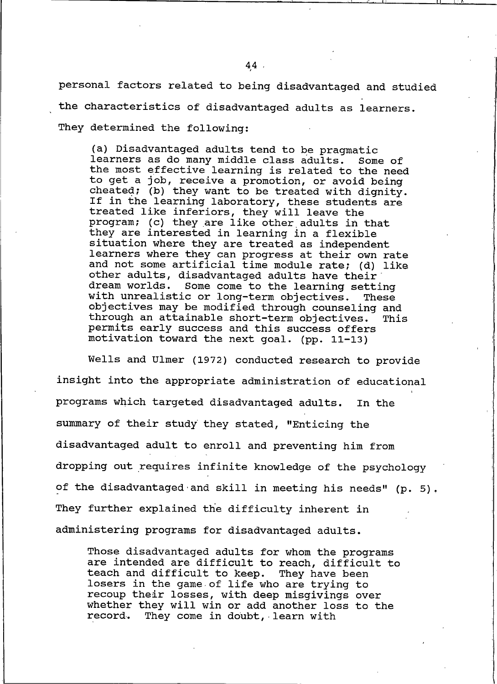personal factors related to being disadvantaged and studied the characteristics of disadvantaged adults as learners. They determined the following:

(a) Disadvantaged adults tend to be pragmatic learners as do many middle class adults. Some of the most effective learning is related to the need to get a job, receive a promotion, or avoid being cheated; (b) they want to be treated with dignity. If in the learning laboratory, these students are treated like inferiors, they will leave the program; (c) they are like other adults in that<br>they are interested in learning in a flexible situation where they are treated as independent learners where they can progress at their own rate and not some artificial time module rate; (d) like other adults, disadvantaged adults have their dream worlds. Some come to the learning setting with unrealistic or long-term objectives. These objectives may be modified through counseling and through an attainable short-term objectives. This permits early success and this success offers motivation toward the next goal. (pp. 11-13)

Wells and Ulmer (1972) conducted research to provide insight into the appropriate administration of educational programs which targeted disadvantaged adults. In the summary of their study they stated, "Enticing the disadvantaged adult to enroll and preventing him from dropping out requires infinite knowledge of the psychology of the disadvantaged and skill in meeting his needs" (p. 5). They further explained the difficulty inherent in administering programs for disadvantaged adults.

Those disadvantaged adults for whom the programs are intended are difficult to reach, difficult to teach and difficult to keep. They have been losers in the game of life who are trying to recoup their losses, with deep misqivings over whether they will win or add another loss to the record. They come in doubt, learn with

 $44.$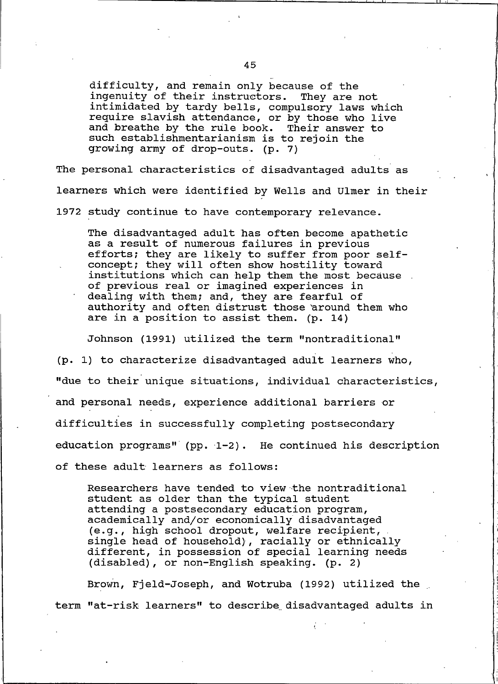difficulty, and remain only because of the ingenuity of their instructors. They are not intimidated by tardy bells, compulsory laws which require slavish attendance, or by those who live and breathe by the rule book. Their answer to such establishmentarianism is to rejoin the growing army of drop-outs. (p. 7)

The personal characteristics of disadvantaged adults as learners which were identified by Wells and Ulmer in their 1972 study continue to have contemporary relevance.

The disadvantaged adult has often become apathetic as a result of numerous failures in previous efforts; they are likely to suffer from poor self-<br>concept; they will often show hostility toward institutions which can help them the most because. of previous real or imagined experiences in dealing with them; and, they are fearful of authority and often distrust those around them who are in a position to assist them. (p. 14)

Johnson (1991) utilized the term "nontraditional"

(p. 1) to characterize disadvantaged adult learners who, "due to their unique situations, individual characteristics, and personal needs, experience additional barriers or difficulties in successfully completing postsecondary education programs" (pp.  $1-2$ ). He continued his description of these adult learners as follows:

Researchers have tended to view the nontraditional student as older than the typical student attending a postsecondary education program, academically and/or economically disadvantaged (e.g., high school dropout, welfare recipient, single head of household), racially or ethnically<br>different, in possession of special learning needs (disabled), or non-English speaking. (p. 2)

Brown, Fjeld-Joseph, and Wotruba (1992) utilized the term "at-risk learners" to describe disadvantaged adults in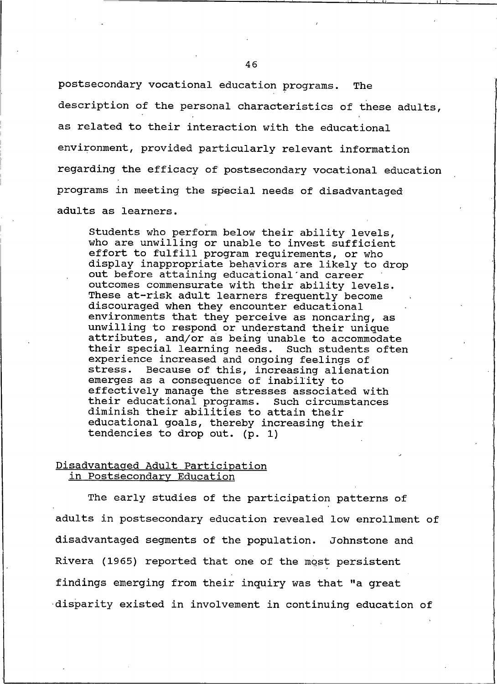postsecondary vocational education programs. The description of the personal characteristics of these adults, as related to their interaction with the educational environment, provided particularly relevant information regarding the efficacy of postsecondary vocational education programs in meeting the special needs of disadvantaged adults as learners.

Students who perform below their ability levels, who are unwilling or unable to invest sufficient effort to fulfill program requirements, or who display inappropriate behaviors are likely to drop out before attaining educational and career outcomes commensurate with their ability levels. These at-risk adult learners frequently become discouraged when they encounter educational environments that they perceive as noncaring, as unwilling to respond or understand their unique attributes, and/or as being unable to accommodate their special learning needs. Such students often experience increased and ongoing feelings of stress. Because of this, increasing alienation emerges as a consequence of inability to effectively manage the stresses associated with their educational programs. Such circumstances diminish their abilities to attain their educational goals, thereby increasing their tendencies to drop out. (p. 1)

### Disadvantaged Adult Participation in Postsecondary Education

The early studies of the participation patterns of adults in postsecondary education revealed low enrollment of disadvantaged segments of the population. Johnstone and Rivera (1965) reported that one of the most persistent findings emerging from their inquiry was that "a great disparity existed in involvement in continuing education of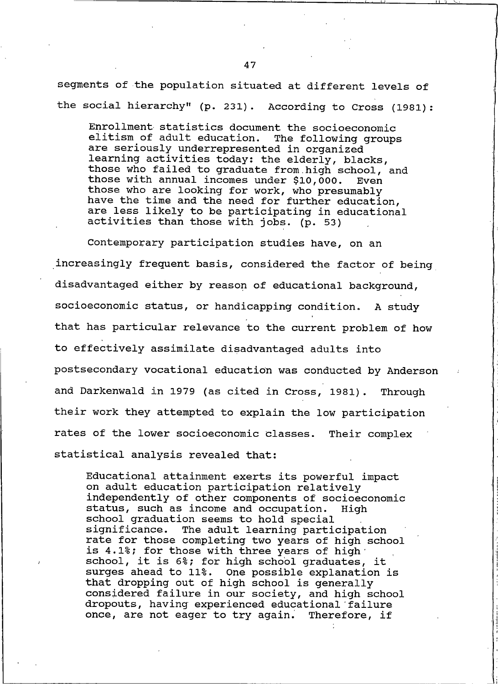segments of the population situated at different levels of the social hierarchy" (p. 231). According to Cross (1981):

Enrollment statistics document the socioeconomic elitism of adult education. The following groups are seriously underrepresented in organized learning activities today: the elderly, blacks, those who failed to graduate from high school, and those with annual incomes under \$10,000. Even those who are looking for work, who presumably<br>have the time and the need for further education, are less likely to be participating in educational activities than those with jobs. (p. 53)

Contemporary participation studies have, on an increasingly frequent basis, considered the factor of being disadvantaged either by reason of educational background, socioeconomic status, or handicapping condition. A study that has particular relevance to the current problem of how to effectively assimilate disadvantaged adults into postsecondary vocational education was conducted by Anderson and Darkenwald in 1979 (as cited in Cross, 1981). Through their work they attempted to explain the low participation rates of the lower socioeconomic classes. Their complex statistical analysis revealed that:

Educational attainment exerts its powerful impact on adult education participation relatively independently of other components of socioeconomic status, such as income and occupation. High school graduation seems to hold special significance. The adult learning participation rate for those completing two years of high school is 4.1%; for those with three years of high school, it is 6%; for high school graduates, it surges ahead to 11%. One possible explanation is that dropping out of high school is generally considered failure in our society, and high school dropouts, having experienced educational failure once, are not eager to try again. Therefore, if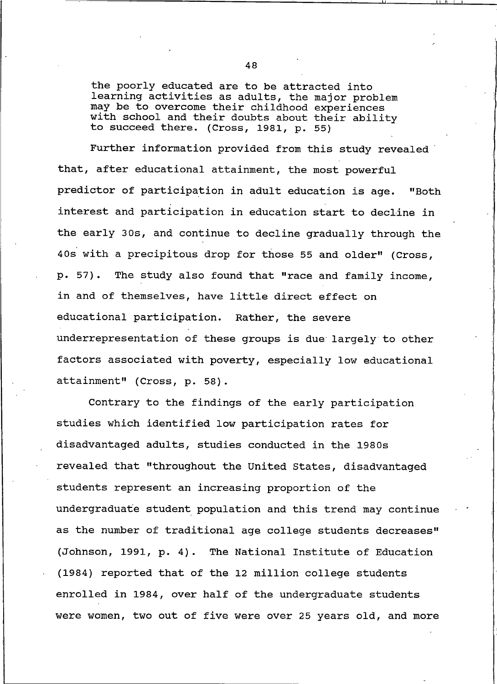the poorly educated are to be attracted into learning activities as adults, the major problem may be to overcome their childhood experiences with school and their doubts about their ability to succeed there. (Cross, 1981, p. 55)

Further information provided from this study revealed that, after educational attainment, the most powerful predictor of participation in adult education is age. "Both interest and participation in education start to decline in the early 30s, and continue to decline gradually through the 40s with a precipitous drop for those 55 and older" (Cross, The study also found that "race and family income, p. 57). in and of themselves, have little direct effect on educational participation. Rather, the severe underrepresentation of these groups is due largely to other factors associated with poverty, especially low educational attainment" (Cross, p. 58).

Contrary to the findings of the early participation studies which identified low participation rates for disadvantaged adults, studies conducted in the 1980s revealed that "throughout the United States, disadvantaged students represent an increasing proportion of the undergraduate student population and this trend may continue as the number of traditional age college students decreases" (Johnson, 1991, p. 4). The National Institute of Education (1984) reported that of the 12 million college students enrolled in 1984, over half of the undergraduate students were women, two out of five were over 25 years old, and more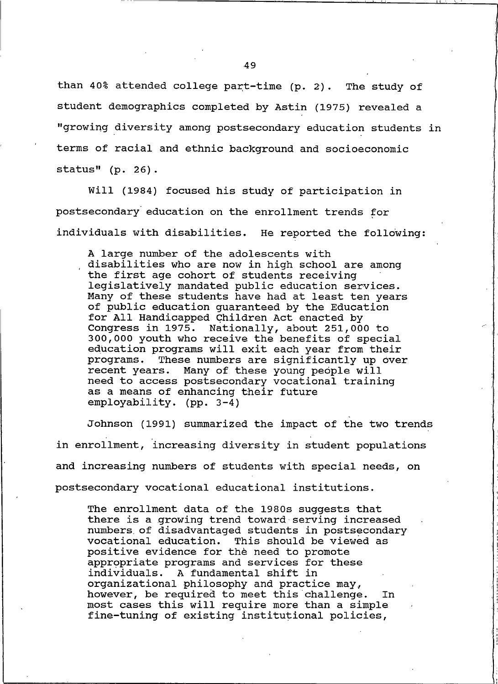than 40% attended college part-time (p. 2). The study of student demographics completed by Astin (1975) revealed a "growing diversity among postsecondary education students in terms of racial and ethnic background and socioeconomic status"  $(p. 26)$ .

Will (1984) focused his study of participation in postsecondary education on the enrollment trends for individuals with disabilities. He reported the following:

A large number of the adolescents with disabilities who are now in high school are among the first age cohort of students receiving legislatively mandated public education services. Many of these students have had at least ten years of public education quaranteed by the Education for All Handicapped Children Act enacted by Congress in 1975. Nationally, about 251,000 to 300,000 youth who receive the benefits of special education programs will exit each year from their These numbers are significantly up over programs. recent years. Many of these young people will need to access postsecondary vocational training as a means of enhancing their future employability. (pp. 3-4)

Johnson (1991) summarized the impact of the two trends in enrollment, increasing diversity in student populations and increasing numbers of students with special needs, on postsecondary vocational educational institutions.

The enrollment data of the 1980s suggests that there is a growing trend toward serving increased numbers of disadvantaged students in postsecondary vocational education. This should be viewed as positive evidence for the need to promote appropriate programs and services for these individuals. A fundamental shift in organizational philosophy and practice may, however, be required to meet this challenge. In most cases this will require more than a simple fine-tuning of existing institutional policies,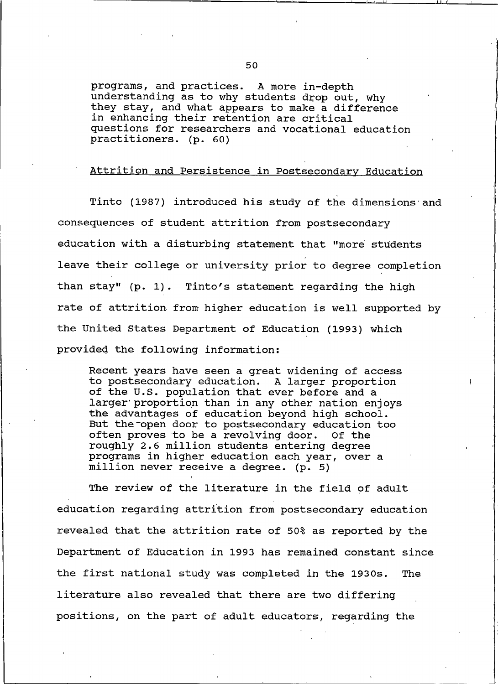programs, and practices. A more in-depth understanding as to why students drop out, why they stay, and what appears to make a difference in enhancing their retention are critical questions for researchers and vocational education practitioners. (p. 60)

# Attrition and Persistence in Postsecondary Education

Tinto (1987) introduced his study of the dimensions and consequences of student attrition from postsecondary education with a disturbing statement that "more students leave their college or university prior to degree completion than stay" (p. 1). Tinto's statement regarding the high rate of attrition from higher education is well supported by the United States Department of Education (1993) which provided the following information:

Recent years have seen a great widening of access to postsecondary education. A larger proportion of the U.S. population that ever before and a larger proportion than in any other nation enjoys the advantages of education beyond high school. But the open door to postsecondary education too often proves to be a revolving door. Of the roughly 2.6 million students entering degree programs in higher education each year, over a million never receive a degree. (p. 5)

The review of the literature in the field of adult education regarding attrition from postsecondary education revealed that the attrition rate of 50% as reported by the Department of Education in 1993 has remained constant since the first national study was completed in the 1930s. The literature also revealed that there are two differing positions, on the part of adult educators, regarding the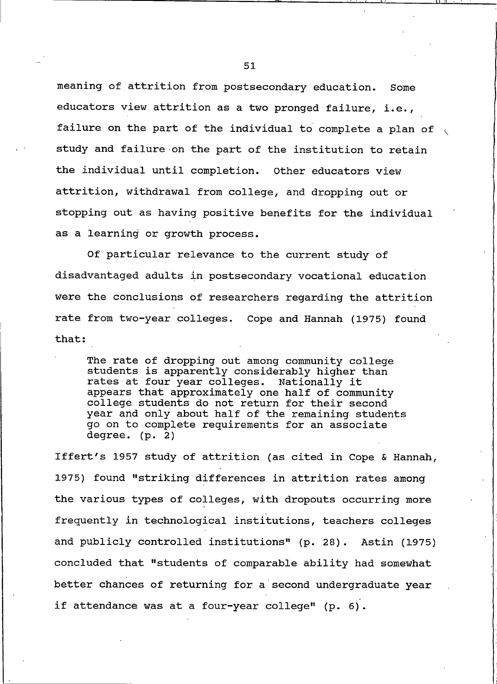meaning of attrition from postsecondary education. Some educators view attrition as a two pronged failure, i.e., failure on the part of the individual to complete a plan of study and failure on the part of the institution to retain the individual until completion. Other educators view attrition, withdrawal from college, and dropping out or stopping out as having positive benefits for the individual as a learning or growth process.

Of particular relevance to the current study of disadvantaged adults in postsecondary vocational education were the conclusions of researchers regarding the attrition rate from two-year colleges. Cope and Hannah (1975) found that:

The rate of dropping out among community college students is apparently considerably higher than rates at four year colleges. Nationally it appears that approximately one half of community college students do not return for their second year and only about half of the remaining students go on to complete requirements for an associate degree.  $(p. 2)$ 

Iffert's 1957 study of attrition (as cited in Cope & Hannah, 1975) found "striking differences in attrition rates among the various types of colleges, with dropouts occurring more frequently in technological institutions, teachers colleges and publicly controlled institutions" (p. 28). Astin (1975) concluded that "students of comparable ability had somewhat better chances of returning for a second undergraduate year if attendance was at a four-year college" (p. 6).